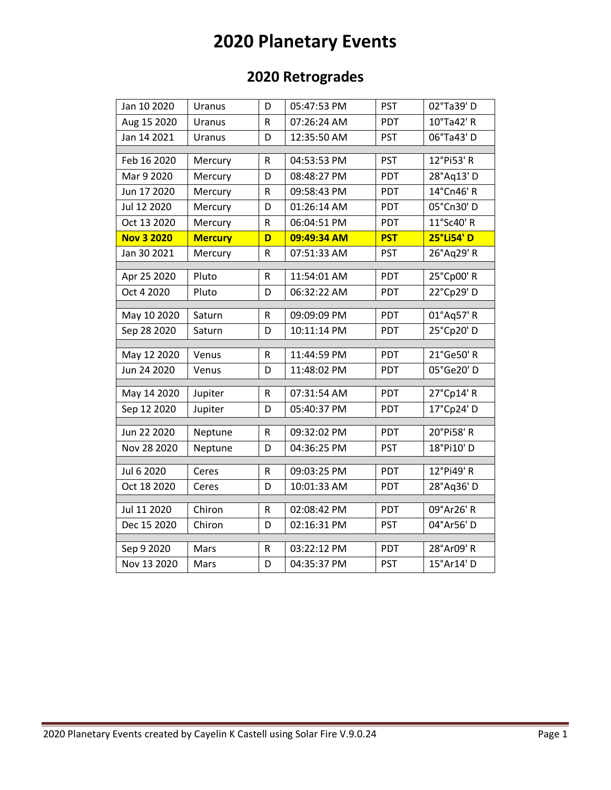# **2020 Planetary Events**

### **2020 Retrogrades**

| Jan 10 2020       | Uranus         | D           | 05:47:53 PM | <b>PST</b> | 02°Ta39' D           |
|-------------------|----------------|-------------|-------------|------------|----------------------|
| Aug 15 2020       | Uranus         | $\mathsf R$ | 07:26:24 AM | PDT        | 10°Ta42' R           |
| Jan 14 2021       | Uranus         | D           | 12:35:50 AM | <b>PST</b> | 06°Ta43'D            |
|                   |                |             |             |            |                      |
| Feb 16 2020       | Mercury        | R           | 04:53:53 PM | <b>PST</b> | 12°Pi53' R           |
| Mar 9 2020        | Mercury        | D           | 08:48:27 PM | PDT        | 28°Aq13' D           |
| Jun 17 2020       | Mercury        | $\mathsf R$ | 09:58:43 PM | PDT        | 14°Cn46' R           |
| Jul 12 2020       | Mercury        | D           | 01:26:14 AM | PDT        | 05°Cn30'D            |
| Oct 13 2020       | Mercury        | R           | 06:04:51 PM | PDT        | 11°Sc40' R           |
| <b>Nov 3 2020</b> | <b>Mercury</b> | D           | 09:49:34 AM | <b>PST</b> | 25°Li54' D           |
| Jan 30 2021       | Mercury        | R           | 07:51:33 AM | <b>PST</b> | 26°Aq29' R           |
| Apr 25 2020       | Pluto          | R           | 11:54:01 AM | PDT        | 25°Cp00' R           |
| Oct 4 2020        | Pluto          | D           | 06:32:22 AM | <b>PDT</b> | 22°Cp29'D            |
|                   |                |             |             |            |                      |
| May 10 2020       | Saturn         | R           | 09:09:09 PM | PDT        | 01°Aq57' R           |
| Sep 28 2020       | Saturn         | D           | 10:11:14 PM | <b>PDT</b> | 25°Cp20'D            |
|                   |                |             |             |            |                      |
| May 12 2020       | Venus          | R.          | 11:44:59 PM | PDT        | $21^{\circ}$ Ge50' R |
| Jun 24 2020       | Venus          | D           | 11:48:02 PM | PDT        | 05°Ge20'D            |
|                   |                |             |             |            |                      |
| May 14 2020       | Jupiter        | R           | 07:31:54 AM | PDT        | 27°Cp14'R            |
| Sep 12 2020       | Jupiter        | D           | 05:40:37 PM | PDT        | 17°Cp24'D            |
| Jun 22 2020       | Neptune        | $\mathsf R$ | 09:32:02 PM | PDT        | 20°Pi58'R            |
| Nov 28 2020       | Neptune        | D           | 04:36:25 PM | <b>PST</b> | 18°Pi10' D           |
|                   |                |             |             |            |                      |
|                   |                |             |             |            |                      |
| Jul 6 2020        | Ceres          | R           | 09:03:25 PM | PDT        | 12°Pi49' R           |
| Oct 18 2020       | Ceres          | D           | 10:01:33 AM | PDT        | 28°Aq36'D            |
|                   |                |             |             |            |                      |
| Jul 11 2020       | Chiron         | R           | 02:08:42 PM | PDT        | 09°Ar26' R           |
| Dec 15 2020       | Chiron         | D           | 02:16:31 PM | <b>PST</b> | 04°Ar56' D           |
|                   |                |             |             |            |                      |
| Sep 9 2020        | Mars           | R           | 03:22:12 PM | PDT        | 28°Ar09' R           |
| Nov 13 2020       | Mars           | D           | 04:35:37 PM | <b>PST</b> | 15°Ar14' D           |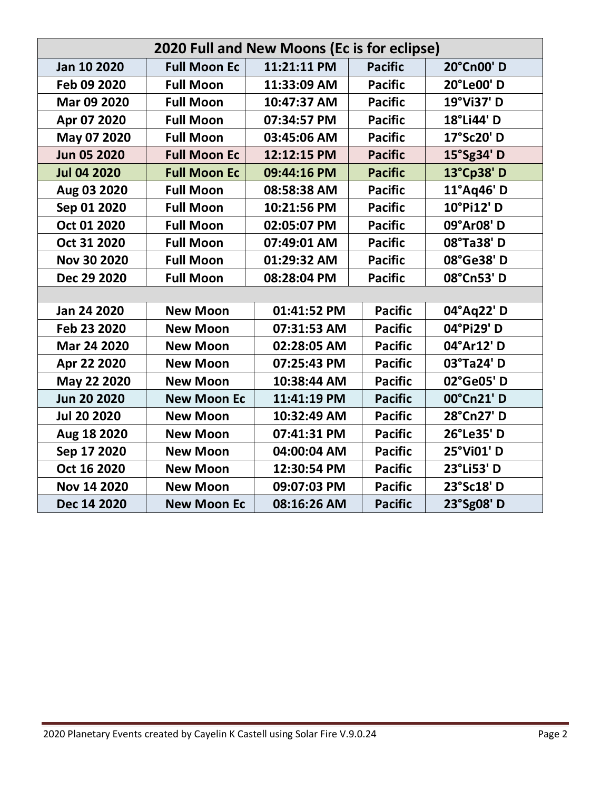| 2020 Full and New Moons (Ec is for eclipse) |                     |             |                |            |  |  |  |  |
|---------------------------------------------|---------------------|-------------|----------------|------------|--|--|--|--|
| Jan 10 2020                                 | <b>Full Moon Ec</b> | 11:21:11 PM | <b>Pacific</b> | 20°Cn00'D  |  |  |  |  |
| Feb 09 2020                                 | <b>Full Moon</b>    | 11:33:09 AM | <b>Pacific</b> | 20°Le00'D  |  |  |  |  |
| Mar 09 2020                                 | <b>Full Moon</b>    | 10:47:37 AM | <b>Pacific</b> | 19°Vi37' D |  |  |  |  |
| Apr 07 2020                                 | <b>Full Moon</b>    | 07:34:57 PM | <b>Pacific</b> | 18°Li44' D |  |  |  |  |
| May 07 2020                                 | <b>Full Moon</b>    | 03:45:06 AM | <b>Pacific</b> | 17°Sc20' D |  |  |  |  |
| <b>Jun 05 2020</b>                          | <b>Full Moon Ec</b> | 12:12:15 PM | <b>Pacific</b> | 15°Sg34' D |  |  |  |  |
| <b>Jul 04 2020</b>                          | <b>Full Moon Ec</b> | 09:44:16 PM | <b>Pacific</b> | 13°Cp38' D |  |  |  |  |
| Aug 03 2020                                 | <b>Full Moon</b>    | 08:58:38 AM | <b>Pacific</b> | 11°Aq46' D |  |  |  |  |
| Sep 01 2020                                 | <b>Full Moon</b>    | 10:21:56 PM | <b>Pacific</b> | 10°Pi12' D |  |  |  |  |
| Oct 01 2020                                 | <b>Full Moon</b>    | 02:05:07 PM | <b>Pacific</b> | 09°Ar08' D |  |  |  |  |
| Oct 31 2020                                 | <b>Full Moon</b>    | 07:49:01 AM | <b>Pacific</b> | 08°Ta38'D  |  |  |  |  |
| Nov 30 2020                                 | <b>Full Moon</b>    | 01:29:32 AM | <b>Pacific</b> | 08°Ge38'D  |  |  |  |  |
| Dec 29 2020                                 | <b>Full Moon</b>    | 08:28:04 PM | <b>Pacific</b> | 08°Cn53'D  |  |  |  |  |
|                                             |                     |             |                |            |  |  |  |  |
| Jan 24 2020                                 | <b>New Moon</b>     | 01:41:52 PM | <b>Pacific</b> | 04°Aq22' D |  |  |  |  |
| Feb 23 2020                                 | <b>New Moon</b>     | 07:31:53 AM | <b>Pacific</b> | 04°Pi29' D |  |  |  |  |
| Mar 24 2020                                 | <b>New Moon</b>     | 02:28:05 AM | <b>Pacific</b> | 04°Ar12' D |  |  |  |  |
| Apr 22 2020                                 | <b>New Moon</b>     | 07:25:43 PM | <b>Pacific</b> | 03°Ta24'D  |  |  |  |  |
| May 22 2020                                 | <b>New Moon</b>     | 10:38:44 AM | <b>Pacific</b> | 02°Ge05'D  |  |  |  |  |
| <b>Jun 20 2020</b>                          | <b>New Moon Ec</b>  | 11:41:19 PM | <b>Pacific</b> | 00°Cn21'D  |  |  |  |  |
| <b>Jul 20 2020</b>                          | <b>New Moon</b>     | 10:32:49 AM | <b>Pacific</b> | 28°Cn27' D |  |  |  |  |
| Aug 18 2020                                 | <b>New Moon</b>     | 07:41:31 PM | <b>Pacific</b> | 26°Le35'D  |  |  |  |  |
| Sep 17 2020                                 | <b>New Moon</b>     | 04:00:04 AM | <b>Pacific</b> | 25°Vi01' D |  |  |  |  |
| Oct 16 2020                                 | <b>New Moon</b>     | 12:30:54 PM | <b>Pacific</b> | 23°Li53' D |  |  |  |  |
| Nov 14 2020                                 | <b>New Moon</b>     | 09:07:03 PM | <b>Pacific</b> | 23°Sc18'D  |  |  |  |  |
| Dec 14 2020                                 | <b>New Moon Ec</b>  | 08:16:26 AM | <b>Pacific</b> | 23°Sg08' D |  |  |  |  |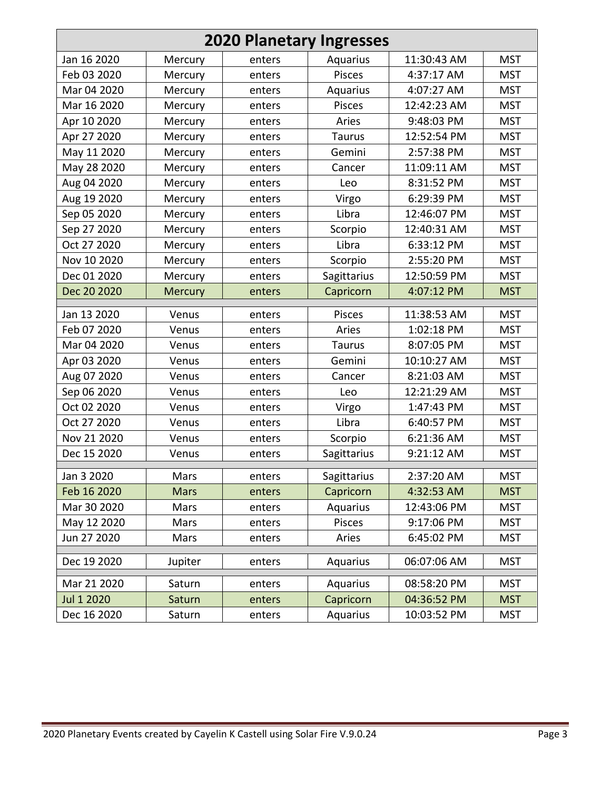| <b>2020 Planetary Ingresses</b> |             |        |               |             |            |  |  |  |  |
|---------------------------------|-------------|--------|---------------|-------------|------------|--|--|--|--|
| Jan 16 2020                     | Mercury     | enters | Aquarius      | 11:30:43 AM | <b>MST</b> |  |  |  |  |
| Feb 03 2020                     | Mercury     | enters | <b>Pisces</b> | 4:37:17 AM  | <b>MST</b> |  |  |  |  |
| Mar 04 2020                     | Mercury     | enters | Aquarius      | 4:07:27 AM  | <b>MST</b> |  |  |  |  |
| Mar 16 2020                     | Mercury     | enters | <b>Pisces</b> | 12:42:23 AM | <b>MST</b> |  |  |  |  |
| Apr 10 2020                     | Mercury     | enters | Aries         | 9:48:03 PM  | <b>MST</b> |  |  |  |  |
| Apr 27 2020                     | Mercury     | enters | <b>Taurus</b> | 12:52:54 PM | <b>MST</b> |  |  |  |  |
| May 11 2020                     | Mercury     | enters | Gemini        | 2:57:38 PM  | <b>MST</b> |  |  |  |  |
| May 28 2020                     | Mercury     | enters | Cancer        | 11:09:11 AM | <b>MST</b> |  |  |  |  |
| Aug 04 2020                     | Mercury     | enters | Leo           | 8:31:52 PM  | <b>MST</b> |  |  |  |  |
| Aug 19 2020                     | Mercury     | enters | Virgo         | 6:29:39 PM  | <b>MST</b> |  |  |  |  |
| Sep 05 2020                     | Mercury     | enters | Libra         | 12:46:07 PM | <b>MST</b> |  |  |  |  |
| Sep 27 2020                     | Mercury     | enters | Scorpio       | 12:40:31 AM | <b>MST</b> |  |  |  |  |
| Oct 27 2020                     | Mercury     | enters | Libra         | 6:33:12 PM  | <b>MST</b> |  |  |  |  |
| Nov 10 2020                     | Mercury     | enters | Scorpio       | 2:55:20 PM  | <b>MST</b> |  |  |  |  |
| Dec 01 2020                     | Mercury     | enters | Sagittarius   | 12:50:59 PM | <b>MST</b> |  |  |  |  |
| Dec 20 2020                     | Mercury     | enters | Capricorn     | 4:07:12 PM  | <b>MST</b> |  |  |  |  |
| Jan 13 2020                     | Venus       | enters | Pisces        | 11:38:53 AM | <b>MST</b> |  |  |  |  |
| Feb 07 2020                     | Venus       | enters | Aries         | 1:02:18 PM  | <b>MST</b> |  |  |  |  |
| Mar 04 2020                     | Venus       | enters | <b>Taurus</b> | 8:07:05 PM  | <b>MST</b> |  |  |  |  |
| Apr 03 2020                     | Venus       | enters | Gemini        | 10:10:27 AM | <b>MST</b> |  |  |  |  |
| Aug 07 2020                     | Venus       | enters | Cancer        | 8:21:03 AM  | <b>MST</b> |  |  |  |  |
| Sep 06 2020                     | Venus       | enters | Leo           | 12:21:29 AM | <b>MST</b> |  |  |  |  |
| Oct 02 2020                     | Venus       | enters | Virgo         | 1:47:43 PM  | <b>MST</b> |  |  |  |  |
| Oct 27 2020                     | Venus       | enters | Libra         | 6:40:57 PM  | <b>MST</b> |  |  |  |  |
| Nov 21 2020                     | Venus       | enters | Scorpio       | 6:21:36 AM  | <b>MST</b> |  |  |  |  |
| Dec 15 2020                     | Venus       | enters | Sagittarius   | 9:21:12 AM  | <b>MST</b> |  |  |  |  |
| Jan 3 2020                      | Mars        | enters | Sagittarius   | 2:37:20 AM  | <b>MST</b> |  |  |  |  |
| Feb 16 2020                     | <b>Mars</b> | enters | Capricorn     | 4:32:53 AM  | <b>MST</b> |  |  |  |  |
| Mar 30 2020                     | Mars        | enters | Aquarius      | 12:43:06 PM | <b>MST</b> |  |  |  |  |
| May 12 2020                     | Mars        | enters | Pisces        | 9:17:06 PM  | <b>MST</b> |  |  |  |  |
| Jun 27 2020                     | Mars        | enters | Aries         | 6:45:02 PM  | <b>MST</b> |  |  |  |  |
| Dec 19 2020                     | Jupiter     | enters | Aquarius      | 06:07:06 AM | <b>MST</b> |  |  |  |  |
| Mar 21 2020                     | Saturn      | enters | Aquarius      | 08:58:20 PM | <b>MST</b> |  |  |  |  |
| Jul 1 2020                      | Saturn      | enters | Capricorn     | 04:36:52 PM | <b>MST</b> |  |  |  |  |
| Dec 16 2020                     | Saturn      | enters | Aquarius      | 10:03:52 PM | <b>MST</b> |  |  |  |  |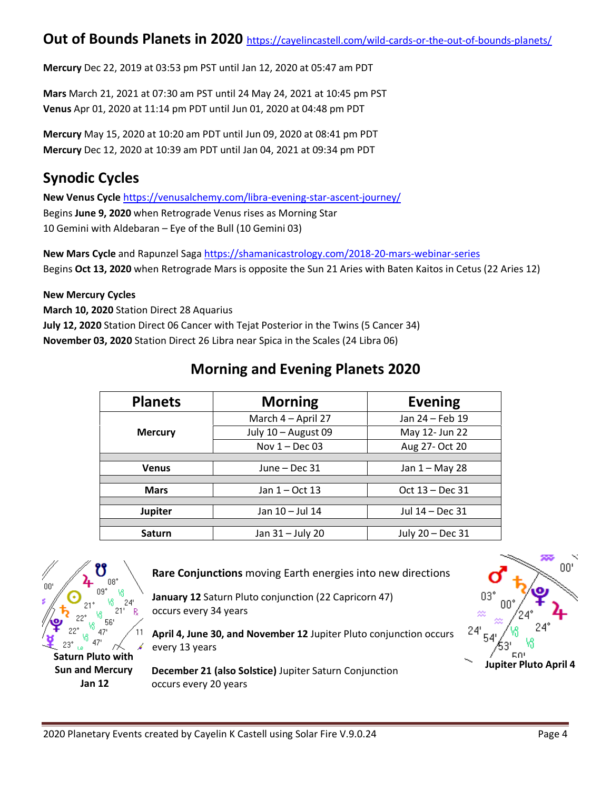#### **Out of Bounds Planets in 2020** <https://cayelincastell.com/wild-cards-or-the-out-of-bounds-planets/>

**Mercury** Dec 22, 2019 at 03:53 pm PST until Jan 12, 2020 at 05:47 am PDT

**Mars** March 21, 2021 at 07:30 am PST until 24 May 24, 2021 at 10:45 pm PST **Venus** Apr 01, 2020 at 11:14 pm PDT until Jun 01, 2020 at 04:48 pm PDT

**Mercury** May 15, 2020 at 10:20 am PDT until Jun 09, 2020 at 08:41 pm PDT **Mercury** Dec 12, 2020 at 10:39 am PDT until Jan 04, 2021 at 09:34 pm PDT

### **Synodic Cycles**

**New Venus Cycle** <https://venusalchemy.com/libra-evening-star-ascent-journey/> Begins **June 9, 2020** when Retrograde Venus rises as Morning Star 10 Gemini with Aldebaran – Eye of the Bull (10 Gemini 03)

**New Mars Cycle** and Rapunzel Saga <https://shamanicastrology.com/2018-20-mars-webinar-series> Begins **Oct 13, 2020** when Retrograde Mars is opposite the Sun 21 Aries with Baten Kaitos in Cetus (22 Aries 12)

#### **New Mercury Cycles**

**March 10, 2020** Station Direct 28 Aquarius **July 12, 2020** Station Direct 06 Cancer with Tejat Posterior in the Twins (5 Cancer 34) **November 03, 2020** Station Direct 26 Libra near Spica in the Scales (24 Libra 06)

### **Morning and Evening Planets 2020**

| <b>Planets</b> | <b>Morning</b>      | <b>Evening</b>   |  |
|----------------|---------------------|------------------|--|
|                | March 4 - April 27  | Jan 24 - Feb 19  |  |
| <b>Mercury</b> | July 10 - August 09 | May 12- Jun 22   |  |
|                | Nov $1 - Dec 03$    | Aug 27- Oct 20   |  |
|                |                     |                  |  |
| <b>Venus</b>   | June - Dec 31       | Jan $1 -$ May 28 |  |
|                |                     |                  |  |
| <b>Mars</b>    | Jan $1 - Oct$ 13    | Oct 13 – Dec 31  |  |
|                |                     |                  |  |
| <b>Jupiter</b> | Jan 10 - Jul 14     | Jul 14 – Dec 31  |  |
|                |                     |                  |  |
| <b>Saturn</b>  | Jan 31 - July 20    | July 20 - Dec 31 |  |



**Rare Conjunctions** moving Earth energies into new directions

**January 12** Saturn Pluto conjunction (22 Capricorn 47) occurs every 34 years

**April 4, June 30, and November 12** Jupiter Pluto conjunction occurs every 13 years

**December 21 (also Solstice)** Jupiter Saturn Conjunction occurs every 20 years

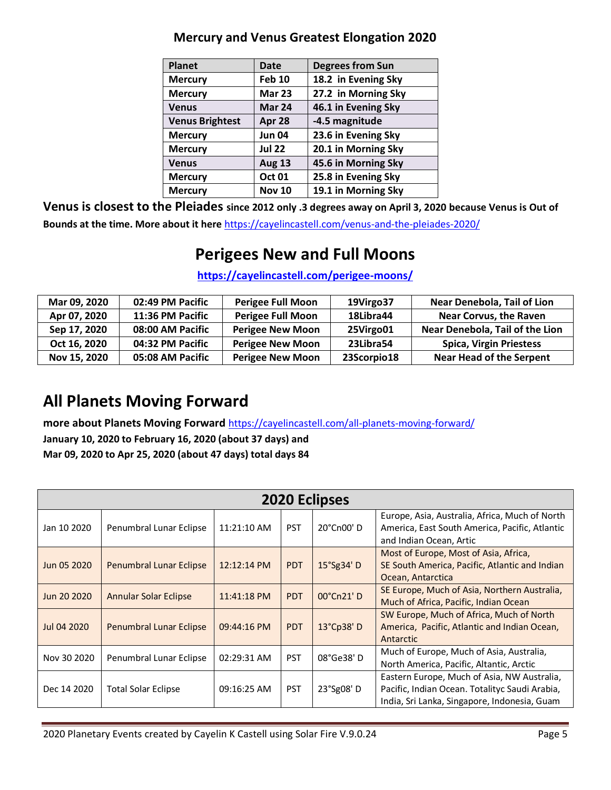| <b>Planet</b>          | <b>Date</b>   | <b>Degrees from Sun</b> |
|------------------------|---------------|-------------------------|
| <b>Mercury</b>         | <b>Feb 10</b> | 18.2 in Evening Sky     |
| <b>Mercury</b>         | <b>Mar 23</b> | 27.2 in Morning Sky     |
| <b>Venus</b>           | Mar 24        | 46.1 in Evening Sky     |
| <b>Venus Brightest</b> | Apr 28        | -4.5 magnitude          |
| <b>Mercury</b>         | <b>Jun 04</b> | 23.6 in Evening Sky     |
| <b>Mercury</b>         | <b>Jul 22</b> | 20.1 in Morning Sky     |
| <b>Venus</b>           | <b>Aug 13</b> | 45.6 in Morning Sky     |
| <b>Mercury</b>         | <b>Oct 01</b> | 25.8 in Evening Sky     |
| <b>Mercury</b>         | <b>Nov 10</b> | 19.1 in Morning Sky     |

#### **Mercury and Venus Greatest Elongation 2020**

**Venus is closest to the Pleiades since 2012 only .3 degrees away on April 3, 2020 because Venus is Out of Bounds at the time. More about it here** <https://cayelincastell.com/venus-and-the-pleiades-2020/>

### **Perigees New and Full Moons**

#### **<https://cayelincastell.com/perigee-moons/>**

| Mar 09, 2020 | 02:49 PM Pacific | Perigee Full Moon        | 19Virgo37   | Near Denebola, Tail of Lion     |
|--------------|------------------|--------------------------|-------------|---------------------------------|
| Apr 07, 2020 | 11:36 PM Pacific | <b>Perigee Full Moon</b> | 18Libra44   | <b>Near Corvus, the Raven</b>   |
| Sep 17, 2020 | 08:00 AM Pacific | <b>Perigee New Moon</b>  | 25Virgo01   | Near Denebola, Tail of the Lion |
| Oct 16, 2020 | 04:32 PM Pacific | <b>Perigee New Moon</b>  | 23Libra54   | <b>Spica, Virgin Priestess</b>  |
| Nov 15, 2020 | 05:08 AM Pacific | <b>Perigee New Moon</b>  | 23Scorpio18 | <b>Near Head of the Serpent</b> |

### **All Planets Moving Forward**

**more about Planets Moving Forward** <https://cayelincastell.com/all-planets-moving-forward/>

**January 10, 2020 to February 16, 2020 (about 37 days) and Mar 09, 2020 to Apr 25, 2020 (about 47 days) total days 84**

|             | <b>2020 Eclipses</b>           |                       |            |            |                                                                                                                                               |  |  |  |  |  |
|-------------|--------------------------------|-----------------------|------------|------------|-----------------------------------------------------------------------------------------------------------------------------------------------|--|--|--|--|--|
| Jan 10 2020 | Penumbral Lunar Eclipse        | 11:21:10 AM           | <b>PST</b> | 20°Cn00'D  | Europe, Asia, Australia, Africa, Much of North<br>America, East South America, Pacific, Atlantic<br>and Indian Ocean, Artic                   |  |  |  |  |  |
| Jun 05 2020 | <b>Penumbral Lunar Eclipse</b> | 12:12:14 PM           | <b>PDT</b> | 15°Sg34' D | Most of Europe, Most of Asia, Africa,<br>SE South America, Pacific, Atlantic and Indian<br>Ocean, Antarctica                                  |  |  |  |  |  |
| Jun 20 2020 | <b>Annular Solar Eclipse</b>   | $11:41:18 \text{ PM}$ | <b>PDT</b> | 00°Cn21'D  | SE Europe, Much of Asia, Northern Australia,<br>Much of Africa, Pacific, Indian Ocean                                                         |  |  |  |  |  |
| Jul 04 2020 | Penumbral Lunar Eclipse        | 09:44:16 PM           | <b>PDT</b> | 13°Cp38'D  | SW Europe, Much of Africa, Much of North<br>America, Pacific, Atlantic and Indian Ocean,<br>Antarctic                                         |  |  |  |  |  |
| Nov 30 2020 | Penumbral Lunar Eclipse        | 02:29:31 AM           | <b>PST</b> | 08°Ge38'D  | Much of Europe, Much of Asia, Australia,<br>North America, Pacific, Altantic, Arctic                                                          |  |  |  |  |  |
| Dec 14 2020 | <b>Total Solar Eclipse</b>     | 09:16:25 AM           | <b>PST</b> | 23°Sg08'D  | Eastern Europe, Much of Asia, NW Australia,<br>Pacific, Indian Ocean. Totalityc Saudi Arabia,<br>India, Sri Lanka, Singapore, Indonesia, Guam |  |  |  |  |  |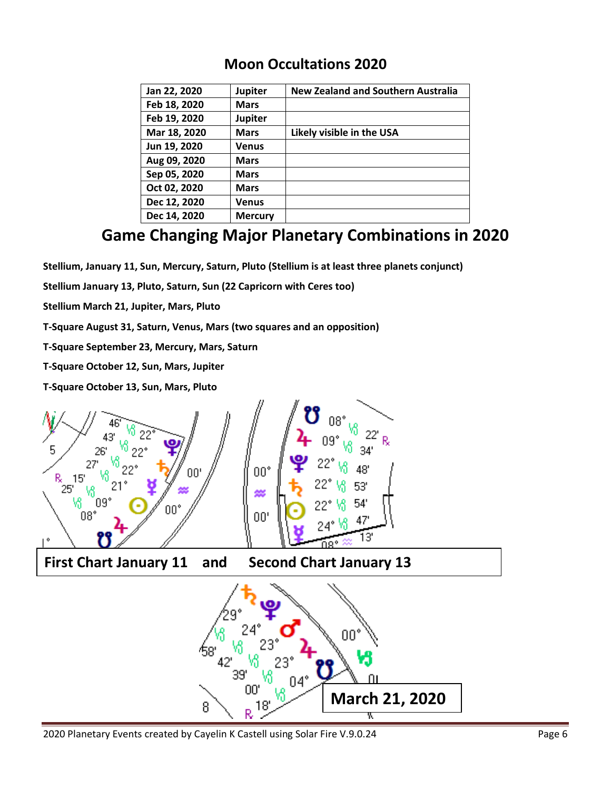#### **Moon Occultations 2020**

| Jan 22, 2020 | <b>Jupiter</b> | <b>New Zealand and Southern Australia</b> |
|--------------|----------------|-------------------------------------------|
| Feb 18, 2020 | <b>Mars</b>    |                                           |
| Feb 19, 2020 | <b>Jupiter</b> |                                           |
| Mar 18, 2020 | <b>Mars</b>    | Likely visible in the USA                 |
| Jun 19, 2020 | <b>Venus</b>   |                                           |
| Aug 09, 2020 | <b>Mars</b>    |                                           |
| Sep 05, 2020 | <b>Mars</b>    |                                           |
| Oct 02, 2020 | <b>Mars</b>    |                                           |
| Dec 12, 2020 | <b>Venus</b>   |                                           |
| Dec 14, 2020 | <b>Mercury</b> |                                           |

### **Game Changing Major Planetary Combinations in 2020**

**Stellium, January 11, Sun, Mercury, Saturn, Pluto (Stellium is at least three planets conjunct)**

**Stellium January 13, Pluto, Saturn, Sun (22 Capricorn with Ceres too)**

**Stellium March 21, Jupiter, Mars, Pluto**

**T-Square August 31, Saturn, Venus, Mars (two squares and an opposition)**

**T-Square September 23, Mercury, Mars, Saturn**

**T-Square October 12, Sun, Mars, Jupiter**

**T-Square October 13, Sun, Mars, Pluto**



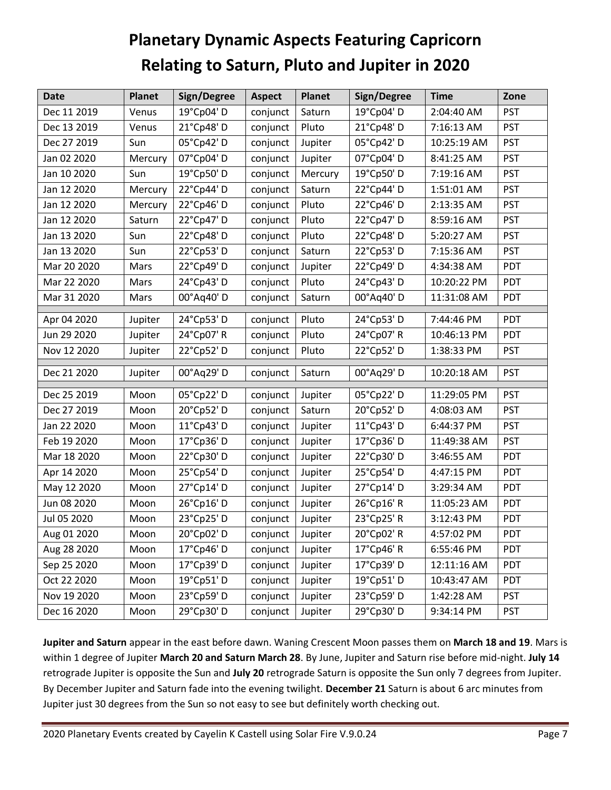# **Planetary Dynamic Aspects Featuring Capricorn Relating to Saturn, Pluto and Jupiter in 2020**

| <b>Date</b> | <b>Planet</b> | Sign/Degree | <b>Aspect</b>    | <b>Planet</b> | Sign/Degree | <b>Time</b> | Zone       |
|-------------|---------------|-------------|------------------|---------------|-------------|-------------|------------|
| Dec 11 2019 | Venus         | 19°Cp04' D  | conjunct         | Saturn        | 19°Cp04'D   | 2:04:40 AM  | <b>PST</b> |
| Dec 13 2019 | Venus         | 21°Cp48'D   | conjunct         | Pluto         | 21°Cp48'D   | 7:16:13 AM  | <b>PST</b> |
| Dec 27 2019 | Sun           | 05°Cp42'D   | conjunct         | Jupiter       | 05°Cp42'D   | 10:25:19 AM | <b>PST</b> |
| Jan 02 2020 | Mercury       | 07°Cp04'D   | conjunct         | Jupiter       | 07°Cp04'D   | 8:41:25 AM  | <b>PST</b> |
| Jan 10 2020 | Sun           | 19°Cp50'D   | conjunct         | Mercury       | 19°Cp50'D   | 7:19:16 AM  | <b>PST</b> |
| Jan 12 2020 | Mercury       | 22°Cp44'D   | conjunct         | Saturn        | 22°Cp44'D   | 1:51:01 AM  | <b>PST</b> |
| Jan 12 2020 | Mercury       | 22°Cp46'D   | conjunct         | Pluto         | 22°Cp46'D   | 2:13:35 AM  | <b>PST</b> |
| Jan 12 2020 | Saturn        | 22°Cp47'D   | conjunct         | Pluto         | 22°Cp47'D   | 8:59:16 AM  | <b>PST</b> |
| Jan 13 2020 | Sun           | 22°Cp48'D   | conjunct         | Pluto         | 22°Cp48'D   | 5:20:27 AM  | <b>PST</b> |
| Jan 13 2020 | Sun           | 22°Cp53'D   | conjunct         | Saturn        | 22°Cp53'D   | 7:15:36 AM  | <b>PST</b> |
| Mar 20 2020 | Mars          | 22°Cp49'D   | conjunct         | Jupiter       | 22°Cp49'D   | 4:34:38 AM  | PDT        |
| Mar 22 2020 | Mars          | 24°Cp43'D   | conjunct         | Pluto         | 24°Cp43'D   | 10:20:22 PM | PDT        |
| Mar 31 2020 | Mars          | 00°Aq40'D   | conjunct         | Saturn        | 00°Aq40' D  | 11:31:08 AM | PDT        |
| Apr 04 2020 | Jupiter       | 24°Cp53'D   | conjunct         | Pluto         | 24°Cp53'D   | 7:44:46 PM  | PDT        |
| Jun 29 2020 | Jupiter       | 24°Cp07' R  | conjunct         | Pluto         | 24°Cp07' R  | 10:46:13 PM | PDT        |
| Nov 12 2020 | Jupiter       | 22°Cp52'D   | conjunct         | Pluto         | 22°Cp52'D   | 1:38:33 PM  | <b>PST</b> |
| Dec 21 2020 | Jupiter       | 00°Aq29' D  | conjunct         | Saturn        | 00°Aq29' D  | 10:20:18 AM | <b>PST</b> |
| Dec 25 2019 | Moon          | 05°Cp22'D   | conjunct         | Jupiter       | 05°Cp22'D   | 11:29:05 PM | <b>PST</b> |
| Dec 27 2019 | Moon          | 20°Cp52'D   | conjunct         | Saturn        | 20°Cp52'D   | 4:08:03 AM  | <b>PST</b> |
| Jan 22 2020 | Moon          | 11°Cp43'D   | conjunct         | Jupiter       | 11°Cp43'D   | 6:44:37 PM  | <b>PST</b> |
| Feb 19 2020 | Moon          | 17°Cp36'D   | conjunct         | Jupiter       | 17°Cp36'D   | 11:49:38 AM | <b>PST</b> |
| Mar 18 2020 | Moon          | 22°Cp30'D   | conjunct         | Jupiter       | 22°Cp30'D   | 3:46:55 AM  | PDT        |
| Apr 14 2020 | Moon          | 25°Cp54'D   | conjunct         | Jupiter       | 25°Cp54'D   | 4:47:15 PM  | PDT        |
| May 12 2020 | Moon          | 27°Cp14'D   | conjunct         | Jupiter       | 27°Cp14'D   | 3:29:34 AM  | PDT        |
| Jun 08 2020 | Moon          | 26°Cp16'D   | conjunct         | Jupiter       | 26°Cp16'R   | 11:05:23 AM | PDT        |
| Jul 05 2020 | Moon          | 23°Cp25'D   | conjunct         | Jupiter       | 23°Cp25' R  | 3:12:43 PM  | PDT        |
| Aug 01 2020 | Moon          | 20°Cp02'D   | conjunct Jupiter |               | 20°Cp02' R  | 4:57:02 PM  | PDT        |
| Aug 28 2020 | Moon          | 17°Cp46'D   | conjunct         | Jupiter       | 17°Cp46' R  | 6:55:46 PM  | PDT        |
| Sep 25 2020 | Moon          | 17°Cp39'D   | conjunct         | Jupiter       | 17°Cp39'D   | 12:11:16 AM | PDT        |
| Oct 22 2020 | Moon          | 19°Cp51'D   | conjunct         | Jupiter       | 19°Cp51'D   | 10:43:47 AM | PDT        |
| Nov 19 2020 | Moon          | 23°Cp59'D   | conjunct         | Jupiter       | 23°Cp59'D   | 1:42:28 AM  | <b>PST</b> |
| Dec 16 2020 | Moon          | 29°Cp30'D   | conjunct         | Jupiter       | 29°Cp30'D   | 9:34:14 PM  | <b>PST</b> |

**Jupiter and Saturn** appear in the east before dawn. Waning Crescent Moon passes them on **March 18 and 19**. Mars is within 1 degree of Jupiter **March 20 and Saturn March 28**. By June, Jupiter and Saturn rise before mid-night. **July 14** retrograde Jupiter is opposite the Sun and **July 20** retrograde Saturn is opposite the Sun only 7 degrees from Jupiter. By December Jupiter and Saturn fade into the evening twilight. **December 21** Saturn is about 6 arc minutes from Jupiter just 30 degrees from the Sun so not easy to see but definitely worth checking out.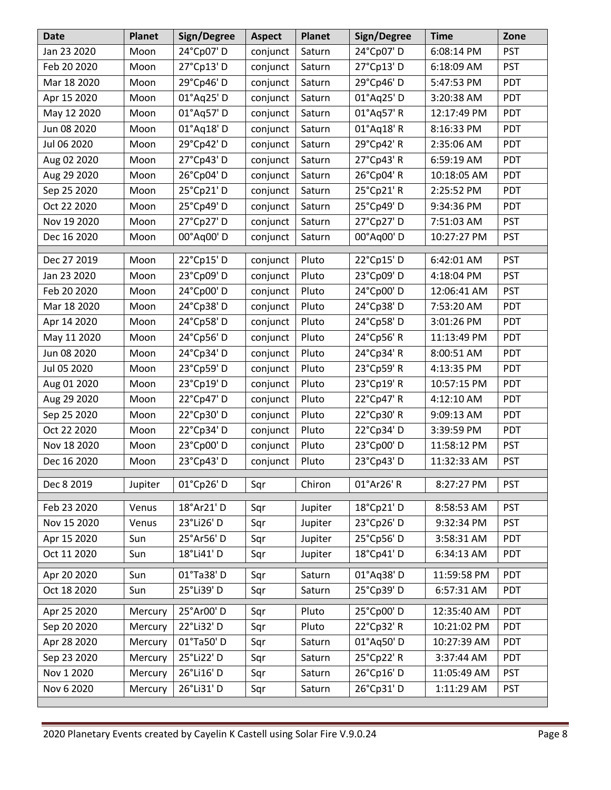| <b>Date</b> | <b>Planet</b> | Sign/Degree | <b>Aspect</b> | <b>Planet</b> | Sign/Degree          | <b>Time</b> | Zone       |
|-------------|---------------|-------------|---------------|---------------|----------------------|-------------|------------|
| Jan 23 2020 | Moon          | 24°Cp07'D   | conjunct      | Saturn        | 24°Cp07'D            | 6:08:14 PM  | <b>PST</b> |
| Feb 20 2020 | Moon          | 27°Cp13'D   | conjunct      | Saturn        | 27°Cp13'D            | 6:18:09 AM  | <b>PST</b> |
| Mar 18 2020 | Moon          | 29°Cp46'D   | conjunct      | Saturn        | 29°Cp46'D            | 5:47:53 PM  | PDT        |
| Apr 15 2020 | Moon          | 01°Aq25' D  | conjunct      | Saturn        | 01°Aq25' D           | 3:20:38 AM  | PDT        |
| May 12 2020 | Moon          | 01°Aq57'D   | conjunct      | Saturn        | 01°Aq57' R           | 12:17:49 PM | PDT        |
| Jun 08 2020 | Moon          | 01°Aq18'D   | conjunct      | Saturn        | 01°Aq18' R           | 8:16:33 PM  | PDT        |
| Jul 06 2020 | Moon          | 29°Cp42'D   | conjunct      | Saturn        | 29°Cp42' R           | 2:35:06 AM  | PDT        |
| Aug 02 2020 | Moon          | 27°Cp43'D   | conjunct      | Saturn        | 27°Cp43'R            | 6:59:19 AM  | <b>PDT</b> |
| Aug 29 2020 | Moon          | 26°Cp04'D   | conjunct      | Saturn        | 26°Cp04' R           | 10:18:05 AM | PDT        |
| Sep 25 2020 | Moon          | 25°Cp21'D   | conjunct      | Saturn        | 25°Cp21'R            | 2:25:52 PM  | PDT        |
| Oct 22 2020 | Moon          | 25°Cp49'D   | conjunct      | Saturn        | 25°Cp49'D            | 9:34:36 PM  | PDT        |
| Nov 19 2020 | Moon          | 27°Cp27'D   | conjunct      | Saturn        | 27°Cp27'D            | 7:51:03 AM  | <b>PST</b> |
| Dec 16 2020 | Moon          | 00°Aq00' D  | conjunct      | Saturn        | 00°Aq00' D           | 10:27:27 PM | <b>PST</b> |
| Dec 27 2019 | Moon          | 22°Cp15'D   | conjunct      | Pluto         | 22°Cp15'D            | 6:42:01 AM  | <b>PST</b> |
| Jan 23 2020 | Moon          | 23°Cp09'D   | conjunct      | Pluto         | 23°Cp09'D            | 4:18:04 PM  | <b>PST</b> |
| Feb 20 2020 | Moon          | 24°Cp00'D   | conjunct      | Pluto         | 24°Cp00'D            | 12:06:41 AM | <b>PST</b> |
| Mar 18 2020 | Moon          | 24°Cp38'D   | conjunct      | Pluto         | 24°Cp38'D            | 7:53:20 AM  | PDT        |
| Apr 14 2020 | Moon          | 24°Cp58'D   | conjunct      | Pluto         | 24°Cp58'D            | 3:01:26 PM  | PDT        |
| May 11 2020 | Moon          | 24°Cp56'D   | conjunct      | Pluto         | 24°Cp56' R           | 11:13:49 PM | PDT        |
| Jun 08 2020 | Moon          | 24°Cp34'D   | conjunct      | Pluto         | 24°Cp34' R           | 8:00:51 AM  | PDT        |
| Jul 05 2020 | Moon          | 23°Cp59'D   | conjunct      | Pluto         | 23°Cp59' R           | 4:13:35 PM  | PDT        |
| Aug 01 2020 | Moon          | 23°Cp19'D   | conjunct      | Pluto         | 23°Cp19' R           | 10:57:15 PM | PDT        |
| Aug 29 2020 | Moon          | 22°Cp47'D   | conjunct      | Pluto         | 22°Cp47' R           | 4:12:10 AM  | PDT        |
| Sep 25 2020 | Moon          | 22°Cp30'D   | conjunct      | Pluto         | 22°Cp30'R            | 9:09:13 AM  | PDT        |
| Oct 22 2020 | Moon          | 22°Cp34'D   | conjunct      | Pluto         | 22°Cp34'D            | 3:39:59 PM  | PDT        |
| Nov 18 2020 | Moon          | 23°Cp00'D   | conjunct      | Pluto         | 23°Cp00'D            | 11:58:12 PM | <b>PST</b> |
| Dec 16 2020 | Moon          | 23°Cp43'D   | conjunct      | Pluto         | 23°Cp43'D            | 11:32:33 AM | <b>PST</b> |
| Dec 8 2019  | Jupiter       | 01°Cp26'D   | Sqr           | Chiron        | 01°Ar26' R           | 8:27:27 PM  | <b>PST</b> |
| Feb 23 2020 | Venus         | 18°Ar21' D  | Sqr           | Jupiter       | 18°Cp21'D            | 8:58:53 AM  | <b>PST</b> |
| Nov 15 2020 | Venus         | 23°Li26' D  | Sqr           | Jupiter       | 23°Cp26'D            | 9:32:34 PM  | <b>PST</b> |
| Apr 15 2020 | Sun           | 25°Ar56'D   | Sqr           | Jupiter       | 25°Cp56'D            | 3:58:31 AM  | PDT        |
| Oct 11 2020 | Sun           | 18°Li41' D  | Sqr           | Jupiter       | 18°Cp41'D            | 6:34:13 AM  | PDT        |
| Apr 20 2020 | Sun           | 01°Ta38'D   | Sqr           | Saturn        | 01°Aq38'D            | 11:59:58 PM | PDT        |
| Oct 18 2020 | Sun           | 25°Li39' D  | Sqr           | Saturn        | 25°Cp39'D            | 6:57:31 AM  | PDT        |
| Apr 25 2020 | Mercury       | 25°Ar00'D   | Sqr           | Pluto         | 25°Cp00'D            | 12:35:40 AM | PDT        |
| Sep 20 2020 | Mercury       | 22°Li32' D  | Sqr           | Pluto         | 22°Cp32' R           | 10:21:02 PM | PDT        |
| Apr 28 2020 | Mercury       | 01°Ta50'D   | Sqr           | Saturn        | 01°Aq50' D           | 10:27:39 AM | PDT        |
| Sep 23 2020 | Mercury       | 25°Li22' D  | Sqr           | Saturn        | 25°Cp22' R           | 3:37:44 AM  | PDT        |
| Nov 1 2020  | Mercury       | 26°Li16' D  | Sqr           | Saturn        | 26°Cp16'D            | 11:05:49 AM | <b>PST</b> |
| Nov 6 2020  | Mercury       | 26°Li31'D   | Sqr           | Saturn        | $26^{\circ}$ Cp31' D | 1:11:29 AM  | <b>PST</b> |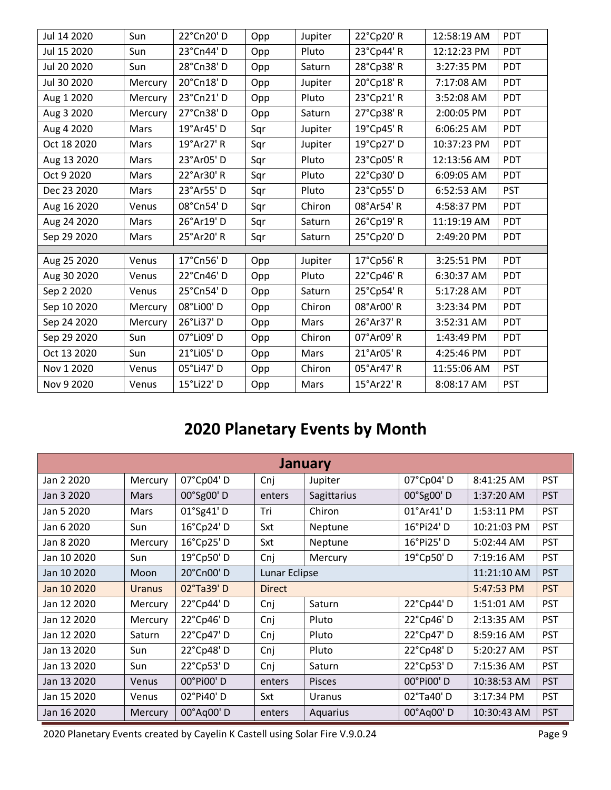| Jul 14 2020 | Sun     | 22°Cn20'D  | Opp | Jupiter | 22°Cp20'R  | 12:58:19 AM | <b>PDT</b> |
|-------------|---------|------------|-----|---------|------------|-------------|------------|
| Jul 15 2020 | Sun     | 23°Cn44'D  | Opp | Pluto   | 23°Cp44' R | 12:12:23 PM | PDT        |
| Jul 20 2020 | Sun     | 28°Cn38'D  | Opp | Saturn  | 28°Cp38'R  | 3:27:35 PM  | PDT        |
| Jul 30 2020 | Mercury | 20°Cn18'D  | Opp | Jupiter | 20°Cp18' R | 7:17:08 AM  | PDT        |
| Aug 1 2020  | Mercury | 23°Cn21'D  | Opp | Pluto   | 23°Cp21'R  | 3:52:08 AM  | <b>PDT</b> |
| Aug 3 2020  | Mercury | 27°Cn38'D  | Opp | Saturn  | 27°Cp38' R | 2:00:05 PM  | PDT        |
| Aug 4 2020  | Mars    | 19°Ar45' D | Sqr | Jupiter | 19°Cp45' R | 6:06:25 AM  | <b>PDT</b> |
| Oct 18 2020 | Mars    | 19°Ar27' R | Sqr | Jupiter | 19°Cp27' D | 10:37:23 PM | PDT        |
| Aug 13 2020 | Mars    | 23°Ar05'D  | Sqr | Pluto   | 23°Cp05'R  | 12:13:56 AM | <b>PDT</b> |
| Oct 9 2020  | Mars    | 22°Ar30' R | Sqr | Pluto   | 22°Cp30'D  | 6:09:05 AM  | PDT        |
| Dec 23 2020 | Mars    | 23°Ar55'D  | Sqr | Pluto   | 23°Cp55'D  | 6:52:53 AM  | <b>PST</b> |
| Aug 16 2020 | Venus   | 08°Cn54'D  | Sqr | Chiron  | 08°Ar54'R  | 4:58:37 PM  | PDT        |
| Aug 24 2020 | Mars    | 26°Ar19' D | Sqr | Saturn  | 26°Cp19' R | 11:19:19 AM | PDT        |
| Sep 29 2020 | Mars    | 25°Ar20' R | Sqr | Saturn  | 25°Cp20'D  | 2:49:20 PM  | PDT        |
|             |         | 17°Cn56'D  |     |         |            |             | PDT        |
| Aug 25 2020 | Venus   |            | Opp | Jupiter | 17°Cp56' R | 3:25:51 PM  |            |
| Aug 30 2020 | Venus   | 22°Cn46'D  | Opp | Pluto   | 22°Cp46' R | 6:30:37 AM  | <b>PDT</b> |
| Sep 2 2020  | Venus   | 25°Cn54'D  | Opp | Saturn  | 25°Cp54' R | 5:17:28 AM  | PDT        |
| Sep 10 2020 | Mercury | 08°Li00'D  | Opp | Chiron  | 08°Ar00' R | 3:23:34 PM  | PDT        |
| Sep 24 2020 | Mercury | 26°Li37' D | Opp | Mars    | 26°Ar37' R | 3:52:31 AM  | PDT        |
| Sep 29 2020 | Sun     | 07°Li09' D | Opp | Chiron  | 07°Ar09' R | 1:43:49 PM  | <b>PDT</b> |
| Oct 13 2020 | Sun     | 21°Li05'D  | Opp | Mars    | 21°Ar05' R | 4:25:46 PM  | PDT        |
| Nov 1 2020  | Venus   | 05°Li47' D | Opp | Chiron  | 05°Ar47' R | 11:55:06 AM | <b>PST</b> |
| Nov 9 2020  | Venus   | 15°Li22' D | Opp | Mars    | 15°Ar22' R | 8:08:17 AM  | <b>PST</b> |

## **2020 Planetary Events by Month**

| <b>January</b> |               |            |               |               |           |             |            |  |  |
|----------------|---------------|------------|---------------|---------------|-----------|-------------|------------|--|--|
| Jan 2 2020     | Mercury       | 07°Cp04'D  | Cnj           | Jupiter       | 07°Cp04'D | 8:41:25 AM  | <b>PST</b> |  |  |
| Jan 3 2020     | Mars          | 00°Sg00'D  | enters        | Sagittarius   | 00°Sg00'D | 1:37:20 AM  | <b>PST</b> |  |  |
| Jan 5 2020     | <b>Mars</b>   | 01°Sg41'D  | Tri           | Chiron        | 01°Ar41'D | 1:53:11 PM  | <b>PST</b> |  |  |
| Jan 6 2020     | Sun           | 16°Cp24'D  | Sxt           | Neptune       | 16°Pi24'D | 10:21:03 PM | <b>PST</b> |  |  |
| Jan 8 2020     | Mercury       | 16°Cp25'D  | Sxt           | Neptune       | 16°Pi25'D | 5:02:44 AM  | <b>PST</b> |  |  |
| Jan 10 2020    | Sun           | 19°Cp50'D  | Cnj           | Mercury       | 19°Cp50'D | 7:19:16 AM  | <b>PST</b> |  |  |
| Jan 10 2020    | Moon          | 20°Cn00'D  |               | Lunar Eclipse |           |             | <b>PST</b> |  |  |
| Jan 10 2020    | <b>Uranus</b> | 02°Ta39'D  | <b>Direct</b> |               |           | 5:47:53 PM  | <b>PST</b> |  |  |
| Jan 12 2020    | Mercury       | 22°Cp44'D  | Cnj           | Saturn        | 22°Cp44'D | 1:51:01 AM  | <b>PST</b> |  |  |
| Jan 12 2020    | Mercury       | 22°Cp46'D  | Cnj           | Pluto         | 22°Cp46'D | 2:13:35 AM  | <b>PST</b> |  |  |
| Jan 12 2020    | Saturn        | 22°Cp47'D  | Cnj           | Pluto         | 22°Cp47'D | 8:59:16 AM  | <b>PST</b> |  |  |
| Jan 13 2020    | Sun           | 22°Cp48'D  | Cnj           | Pluto         | 22°Cp48'D | 5:20:27 AM  | <b>PST</b> |  |  |
| Jan 13 2020    | Sun           | 22°Cp53'D  | Cnj           | Saturn        | 22°Cp53'D | 7:15:36 AM  | <b>PST</b> |  |  |
| Jan 13 2020    | <b>Venus</b>  | 00°Pi00'D  | enters        | <b>Pisces</b> | 00°Pi00'D | 10:38:53 AM | <b>PST</b> |  |  |
| Jan 15 2020    | Venus         | 02°Pi40'D  | Sxt           | Uranus        | 02°Ta40'D | 3:17:34 PM  | <b>PST</b> |  |  |
| Jan 16 2020    | Mercury       | 00°Aq00' D | enters        | Aquarius      | 00°Aq00'D | 10:30:43 AM | <b>PST</b> |  |  |

2020 Planetary Events created by Cayelin K Castell using Solar Fire V.9.0.24 Page 9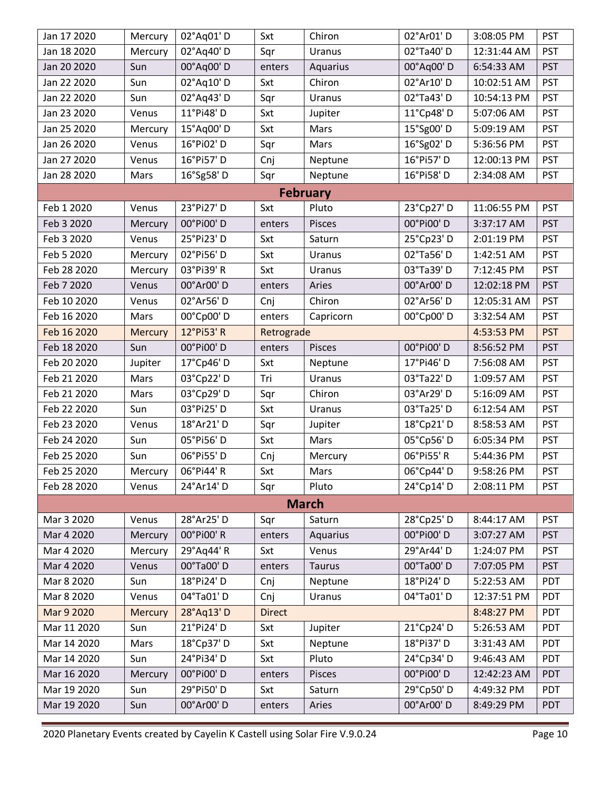| Jan 17 2020 | Mercury        | 02°Aq01'D  | Sxt           | Chiron          | 02°Ar01'D  | 3:08:05 PM  | <b>PST</b> |
|-------------|----------------|------------|---------------|-----------------|------------|-------------|------------|
| Jan 18 2020 | Mercury        | 02°Aq40'D  | Sqr           | Uranus          | 02°Ta40'D  | 12:31:44 AM | <b>PST</b> |
| Jan 20 2020 | Sun            | 00°Aq00' D | enters        | Aquarius        | 00°Aq00'D  | 6:54:33 AM  | <b>PST</b> |
| Jan 22 2020 | Sun            | 02°Aq10' D | Sxt           | Chiron          | 02°Ar10' D | 10:02:51 AM | <b>PST</b> |
| Jan 22 2020 | Sun            | 02°Aq43'D  | Sqr           | Uranus          | 02°Ta43'D  | 10:54:13 PM | <b>PST</b> |
| Jan 23 2020 | Venus          | 11°Pi48'D  | Sxt           | Jupiter         | 11°Cp48'D  | 5:07:06 AM  | <b>PST</b> |
| Jan 25 2020 | Mercury        | 15°Aq00'D  | Sxt           | Mars            | 15°Sg00'D  | 5:09:19 AM  | <b>PST</b> |
| Jan 26 2020 | Venus          | 16°Pi02'D  | Sqr           | Mars            | 16°Sg02' D | 5:36:56 PM  | <b>PST</b> |
| Jan 27 2020 | Venus          | 16°Pi57'D  | Cnj           | Neptune         | 16°Pi57' D | 12:00:13 PM | <b>PST</b> |
| Jan 28 2020 | Mars           | 16°Sg58'D  | Sqr           | Neptune         | 16°Pi58'D  | 2:34:08 AM  | <b>PST</b> |
|             |                |            |               | <b>February</b> |            |             |            |
| Feb 1 2020  | Venus          | 23°Pi27' D | Sxt           | Pluto           | 23°Cp27'D  | 11:06:55 PM | <b>PST</b> |
| Feb 3 2020  | Mercury        | 00°Pi00'D  | enters        | Pisces          | 00°Pi00'D  | 3:37:17 AM  | <b>PST</b> |
| Feb 3 2020  | Venus          | 25°Pi23'D  | Sxt           | Saturn          | 25°Cp23'D  | 2:01:19 PM  | <b>PST</b> |
| Feb 5 2020  | Mercury        | 02°Pi56'D  | Sxt           | Uranus          | 02°Ta56'D  | 1:42:51 AM  | <b>PST</b> |
| Feb 28 2020 | Mercury        | 03°Pi39' R | Sxt           | Uranus          | 03°Ta39' D | 7:12:45 PM  | <b>PST</b> |
| Feb 7 2020  | Venus          | 00°Ar00' D | enters        | Aries           | 00°Ar00'D  | 12:02:18 PM | <b>PST</b> |
| Feb 10 2020 | Venus          | 02°Ar56'D  | Cnj           | Chiron          | 02°Ar56'D  | 12:05:31 AM | <b>PST</b> |
| Feb 16 2020 | Mars           | 00°Cp00'D  | enters        | Capricorn       | 00°Cp00'D  | 3:32:54 AM  | <b>PST</b> |
| Feb 16 2020 | Mercury        | 12°Pi53' R | Retrograde    |                 |            | 4:53:53 PM  | <b>PST</b> |
| Feb 18 2020 | Sun            | 00°Pi00'D  | enters        | Pisces          | 00°Pi00'D  | 8:56:52 PM  | <b>PST</b> |
| Feb 20 2020 | Jupiter        | 17°Cp46'D  | Sxt           | Neptune         | 17°Pi46'D  | 7:56:08 AM  | <b>PST</b> |
| Feb 21 2020 | Mars           | 03°Cp22'D  | Tri           | Uranus          | 03°Ta22' D | 1:09:57 AM  | <b>PST</b> |
| Feb 21 2020 | Mars           | 03°Cp29'D  | Sqr           | Chiron          | 03°Ar29' D | 5:16:09 AM  | <b>PST</b> |
| Feb 22 2020 | Sun            | 03°Pi25'D  | Sxt           | Uranus          | 03°Ta25'D  | 6:12:54 AM  | <b>PST</b> |
| Feb 23 2020 | Venus          | 18°Ar21' D | Sqr           | Jupiter         | 18°Cp21'D  | 8:58:53 AM  | <b>PST</b> |
| Feb 24 2020 | Sun            | 05°Pi56'D  | Sxt           | Mars            | 05°Cp56'D  | 6:05:34 PM  | <b>PST</b> |
| Feb 25 2020 | Sun            | 06°Pi55'D  | Cnj           | Mercury         | 06°Pi55'R  | 5:44:36 PM  | <b>PST</b> |
| Feb 25 2020 | Mercury        | 06°Pi44'R  | Sxt           | Mars            | 06°Cp44'D  | 9:58:26 PM  | <b>PST</b> |
| Feb 28 2020 | Venus          | 24°Ar14' D | Sqr           | Pluto           | 24°Cp14'D  | 2:08:11 PM  | <b>PST</b> |
|             |                |            |               | <b>March</b>    |            |             |            |
| Mar 3 2020  | Venus          | 28°Ar25' D | Sqr           | Saturn          | 28°Cp25'D  | 8:44:17 AM  | <b>PST</b> |
| Mar 4 2020  | Mercury        | 00°Pi00'R  | enters        | Aquarius        | 00°Pi00'D  | 3:07:27 AM  | <b>PST</b> |
| Mar 4 2020  | Mercury        | 29°Aq44' R | Sxt           | Venus           | 29°Ar44' D | 1:24:07 PM  | <b>PST</b> |
| Mar 4 2020  | Venus          | 00°Ta00'D  | enters        | Taurus          | 00°Ta00'D  | 7:07:05 PM  | <b>PST</b> |
| Mar 8 2020  | Sun            | 18°Pi24' D | Cnj           | Neptune         | 18°Pi24' D | 5:22:53 AM  | PDT        |
| Mar 8 2020  | Venus          | 04°Ta01'D  | Cnj           | Uranus          | 04°Ta01'D  | 12:37:51 PM | PDT        |
| Mar 9 2020  | <b>Mercury</b> | 28°Aq13'D  | <b>Direct</b> |                 |            | 8:48:27 PM  | PDT        |
| Mar 11 2020 | Sun            | 21°Pi24' D | Sxt           | Jupiter         | 21°Cp24'D  | 5:26:53 AM  | PDT        |
| Mar 14 2020 | Mars           | 18°Cp37'D  | Sxt           | Neptune         | 18°Pi37'D  | 3:31:43 AM  | PDT        |
| Mar 14 2020 | Sun            | 24°Pi34'D  | Sxt           | Pluto           | 24°Cp34'D  | 9:46:43 AM  | PDT        |
| Mar 16 2020 | Mercury        | 00°Pi00'D  | enters        | Pisces          | 00°Pi00'D  | 12:42:23 AM | <b>PDT</b> |
| Mar 19 2020 | Sun            | 29°Pi50'D  | Sxt           | Saturn          | 29°Cp50'D  | 4:49:32 PM  | PDT        |
| Mar 19 2020 | Sun            | 00°Ar00' D | enters        | Aries           | 00°Ar00'D  | 8:49:29 PM  | <b>PDT</b> |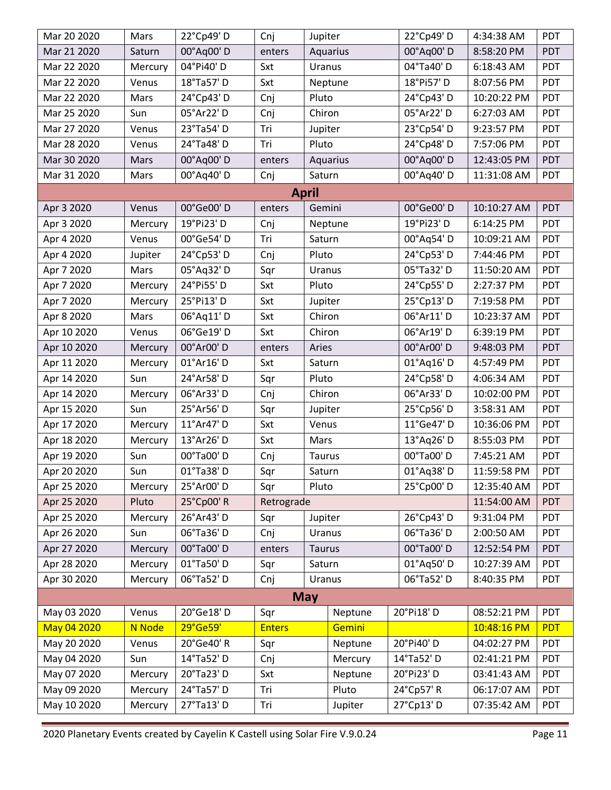| Mar 20 2020 | Mars    | 22°Cp49'D  | Cnj           | Jupiter      |          |  | 22°Cp49'D  | 4:34:38 AM  | PDT        |
|-------------|---------|------------|---------------|--------------|----------|--|------------|-------------|------------|
| Mar 21 2020 | Saturn  | 00°Aq00' D | enters        |              | Aquarius |  | 00°Aq00' D | 8:58:20 PM  | PDT        |
| Mar 22 2020 | Mercury | 04°Pi40'D  | Sxt           |              | Uranus   |  | 04°Ta40'D  | 6:18:43 AM  | PDT        |
| Mar 22 2020 | Venus   | 18°Ta57' D | Sxt           |              | Neptune  |  | 18°Pi57'D  | 8:07:56 PM  | PDT        |
| Mar 22 2020 | Mars    | 24°Cp43'D  | Cnj           |              | Pluto    |  | 24°Cp43'D  | 10:20:22 PM | PDT        |
| Mar 25 2020 | Sun     | 05°Ar22' D | Cnj           | Chiron       |          |  | 05°Ar22' D | 6:27:03 AM  | <b>PDT</b> |
| Mar 27 2020 | Venus   | 23°Ta54'D  | Tri           | Jupiter      |          |  | 23°Cp54'D  | 9:23:57 PM  | PDT        |
| Mar 28 2020 | Venus   | 24°Ta48'D  | Tri           | Pluto        |          |  | 24°Cp48'D  | 7:57:06 PM  | PDT        |
| Mar 30 2020 | Mars    | 00°Aq00'D  | enters        |              | Aquarius |  | 00°Aq00'D  | 12:43:05 PM | PDT        |
| Mar 31 2020 | Mars    | 00°Aq40' D | Cnj           | Saturn       |          |  | 00°Aq40' D | 11:31:08 AM | PDT        |
|             |         |            |               | <b>April</b> |          |  |            |             |            |
| Apr 3 2020  | Venus   | 00°Ge00'D  | enters        | Gemini       |          |  | 00°Ge00'D  | 10:10:27 AM | <b>PDT</b> |
| Apr 3 2020  | Mercury | 19°Pi23' D | Cnj           |              | Neptune  |  | 19°Pi23' D | 6:14:25 PM  | PDT        |
| Apr 4 2020  | Venus   | 00°Ge54'D  | Tri           | Saturn       |          |  | 00°Aq54'D  | 10:09:21 AM | <b>PDT</b> |
| Apr 4 2020  | Jupiter | 24°Cp53'D  | Cnj           | Pluto        |          |  | 24°Cp53'D  | 7:44:46 PM  | PDT        |
| Apr 7 2020  | Mars    | 05°Aq32' D | Sqr           | Uranus       |          |  | 05°Ta32' D | 11:50:20 AM | PDT        |
| Apr 7 2020  | Mercury | 24°Pi55'D  | Sxt           | Pluto        |          |  | 24°Cp55'D  | 2:27:37 PM  | PDT        |
| Apr 7 2020  | Mercury | 25°Pi13'D  | Sxt           |              | Jupiter  |  | 25°Cp13'D  | 7:19:58 PM  | PDT        |
| Apr 8 2020  | Mars    | 06°Aq11'D  | Sxt           | Chiron       |          |  | 06°Ar11' D | 10:23:37 AM | PDT        |
| Apr 10 2020 | Venus   | 06°Ge19'D  | Sxt           | Chiron       |          |  | 06°Ar19' D | 6:39:19 PM  | PDT        |
| Apr 10 2020 | Mercury | 00°Ar00' D | enters        | Aries        |          |  | 00°Ar00' D | 9:48:03 PM  | PDT        |
| Apr 11 2020 | Mercury | 01°Ar16' D | Sxt           | Saturn       |          |  | 01°Aq16' D | 4:57:49 PM  | PDT        |
| Apr 14 2020 | Sun     | 24°Ar58'D  | Sqr           | Pluto        |          |  | 24°Cp58'D  | 4:06:34 AM  | PDT        |
| Apr 14 2020 | Mercury | 06°Ar33'D  | Cnj           | Chiron       |          |  | 06°Ar33'D  | 10:02:00 PM | PDT        |
| Apr 15 2020 | Sun     | 25°Ar56'D  | Sqr           |              | Jupiter  |  | 25°Cp56'D  | 3:58:31 AM  | PDT        |
| Apr 17 2020 | Mercury | 11°Ar47' D | Sxt           |              | Venus    |  | 11°Ge47' D | 10:36:06 PM | <b>PDT</b> |
| Apr 18 2020 | Mercury | 13°Ar26' D | Sxt           | Mars         |          |  | 13°Aq26' D | 8:55:03 PM  | PDT        |
| Apr 19 2020 | Sun     | 00°Ta00'D  | Cnj           | Taurus       |          |  | 00°Ta00'D  | 7:45:21 AM  | PDT        |
| Apr 20 2020 | Sun     | 01°Ta38'D  | Sqr           | Saturn       |          |  | 01°Aq38'D  | 11:59:58 PM | PDT        |
| Apr 25 2020 | Mercury | 25°Ar00'D  | Sqr           | Pluto        |          |  | 25°Cp00'D  | 12:35:40 AM | PDT        |
| Apr 25 2020 | Pluto   | 25°Cp00'R  | Retrograde    |              |          |  |            | 11:54:00 AM | PDT        |
| Apr 25 2020 | Mercury | 26°Ar43'D  | Sqr           | Jupiter      |          |  | 26°Cp43'D  | 9:31:04 PM  | PDT        |
| Apr 26 2020 | Sun     | 06°Ta36'D  | Cnj           | Uranus       |          |  | 06°Ta36'D  | 2:00:50 AM  | PDT        |
| Apr 27 2020 | Mercury | 00°Ta00'D  | enters        | Taurus       |          |  | 00°Ta00'D  | 12:52:54 PM | PDT        |
| Apr 28 2020 | Mercury | 01°Ta50'D  | Sqr           | Saturn       |          |  | 01°Aq50' D | 10:27:39 AM | PDT        |
| Apr 30 2020 | Mercury | 06°Ta52'D  | Cnj           | Uranus       |          |  | 06°Ta52' D | 8:40:35 PM  | PDT        |
|             |         |            |               | <b>May</b>   |          |  |            |             |            |
| May 03 2020 | Venus   | 20°Ge18'D  | Sqr           |              | Neptune  |  | 20°Pi18'D  | 08:52:21 PM | <b>PDT</b> |
| May 04 2020 | N Node  | 29°Ge59'   | <b>Enters</b> |              | Gemini   |  |            | 10:48:16 PM | <b>PDT</b> |
| May 20 2020 | Venus   | 20°Ge40' R | Sqr           |              | Neptune  |  | 20°Pi40'D  | 04:02:27 PM | PDT        |
| May 04 2020 | Sun     | 14°Ta52' D | Cnj           |              | Mercury  |  | 14°Ta52' D | 02:41:21 PM | PDT        |
| May 07 2020 | Mercury | 20°Ta23' D | Sxt           |              | Neptune  |  | 20°Pi23'D  | 03:41:43 AM | PDT        |
| May 09 2020 | Mercury | 24°Ta57' D | Tri           |              | Pluto    |  | 24°Cp57' R | 06:17:07 AM | PDT        |
| May 10 2020 | Mercury | 27°Ta13'D  | Tri           |              | Jupiter  |  | 27°Cp13'D  | 07:35:42 AM | PDT        |
|             |         |            |               |              |          |  |            |             |            |

2020 Planetary Events created by Cayelin K Castell using Solar Fire V.9.0.24 Page 11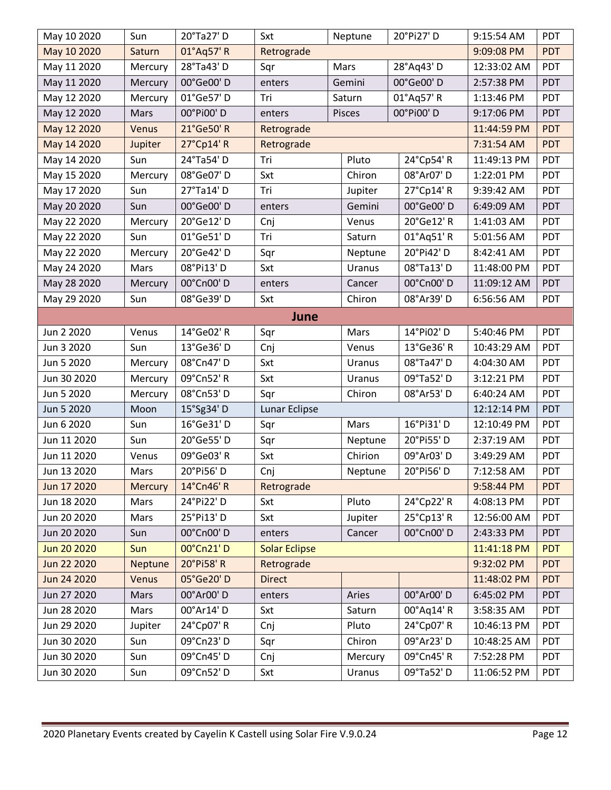| May 10 2020 | Sun     | 20°Ta27' D | Sxt                  |  | Neptune |  | 20°Pi27'D  | 9:15:54 AM  | PDT        |
|-------------|---------|------------|----------------------|--|---------|--|------------|-------------|------------|
| May 10 2020 | Saturn  | 01°Aq57' R | Retrograde           |  |         |  |            | 9:09:08 PM  | <b>PDT</b> |
| May 11 2020 | Mercury | 28°Ta43'D  | Sqr                  |  | Mars    |  | 28°Aq43'D  | 12:33:02 AM | PDT        |
| May 11 2020 | Mercury | 00°Ge00'D  | enters               |  | Gemini  |  | 00°Ge00'D  | 2:57:38 PM  | PDT        |
| May 12 2020 | Mercury | 01°Ge57'D  | Tri                  |  | Saturn  |  | 01°Aq57' R | 1:13:46 PM  | PDT        |
| May 12 2020 | Mars    | 00°Pi00'D  | enters               |  | Pisces  |  | 00°Pi00'D  | 9:17:06 PM  | PDT        |
| May 12 2020 | Venus   | 21°Ge50' R | Retrograde           |  |         |  |            | 11:44:59 PM | <b>PDT</b> |
| May 14 2020 | Jupiter | 27°Cp14' R | Retrograde           |  |         |  |            | 7:31:54 AM  | PDT        |
| May 14 2020 | Sun     | 24°Ta54' D | Tri                  |  | Pluto   |  | 24°Cp54' R | 11:49:13 PM | PDT        |
| May 15 2020 | Mercury | 08°Ge07' D | Sxt                  |  | Chiron  |  | 08°Ar07' D | 1:22:01 PM  | PDT        |
| May 17 2020 | Sun     | 27°Ta14' D | Tri                  |  | Jupiter |  | 27°Cp14'R  | 9:39:42 AM  | PDT        |
| May 20 2020 | Sun     | 00°Ge00'D  | enters               |  | Gemini  |  | 00°Ge00'D  | 6:49:09 AM  | PDT        |
| May 22 2020 | Mercury | 20°Ge12' D | Cnj                  |  | Venus   |  | 20°Ge12' R | 1:41:03 AM  | PDT        |
| May 22 2020 | Sun     | 01°Ge51'D  | Tri                  |  | Saturn  |  | 01°Aq51'R  | 5:01:56 AM  | PDT        |
| May 22 2020 | Mercury | 20°Ge42'D  | Sqr                  |  | Neptune |  | 20°Pi42'D  | 8:42:41 AM  | PDT        |
| May 24 2020 | Mars    | 08°Pi13'D  | Sxt                  |  | Uranus  |  | 08°Ta13'D  | 11:48:00 PM | PDT        |
| May 28 2020 | Mercury | 00°Cn00'D  | enters               |  | Cancer  |  | 00°Cn00'D  | 11:09:12 AM | PDT        |
| May 29 2020 | Sun     | 08°Ge39'D  | Sxt                  |  | Chiron  |  | 08°Ar39' D | 6:56:56 AM  | PDT        |
| June        |         |            |                      |  |         |  |            |             |            |
| Jun 2 2020  | Venus   | 14°Ge02' R | Sqr                  |  | Mars    |  | 14°Pi02' D | 5:40:46 PM  | PDT        |
| Jun 3 2020  | Sun     | 13°Ge36' D | Cnj                  |  | Venus   |  | 13°Ge36' R | 10:43:29 AM | PDT        |
| Jun 5 2020  | Mercury | 08°Cn47'D  | Sxt                  |  | Uranus  |  | 08°Ta47'D  | 4:04:30 AM  | PDT        |
| Jun 30 2020 | Mercury | 09°Cn52' R | Sxt                  |  | Uranus  |  | 09°Ta52' D | 3:12:21 PM  | PDT        |
| Jun 5 2020  | Mercury | 08°Cn53'D  | Sqr                  |  | Chiron  |  | 08°Ar53'D  | 6:40:24 AM  | PDT        |
| Jun 5 2020  | Moon    | 15°Sg34' D | Lunar Eclipse        |  |         |  |            | 12:12:14 PM | PDT        |
| Jun 6 2020  | Sun     | 16°Ge31'D  | Sqr                  |  | Mars    |  | 16°Pi31' D | 12:10:49 PM | PDT        |
| Jun 11 2020 | Sun     | 20°Ge55'D  | Sqr                  |  | Neptune |  | 20°Pi55'D  | 2:37:19 AM  | PDT        |
| Jun 11 2020 | Venus   | 09°Ge03' R | Sxt                  |  | Chirion |  | 09°Ar03' D | 3:49:29 AM  | PDT        |
| Jun 13 2020 | Mars    | 20°Pi56'D  | Cnj                  |  | Neptune |  | 20°Pi56'D  | 7:12:58 AM  | PDT        |
| Jun 17 2020 | Mercury | 14°Cn46'R  | Retrograde           |  |         |  |            | 9:58:44 PM  | <b>PDT</b> |
| Jun 18 2020 | Mars    | 24°Pi22' D | Sxt                  |  | Pluto   |  | 24°Cp22' R | 4:08:13 PM  | PDT        |
| Jun 20 2020 | Mars    | 25°Pi13'D  | Sxt                  |  | Jupiter |  | 25°Cp13'R  | 12:56:00 AM | PDT        |
| Jun 20 2020 | Sun     | 00°Cn00'D  | enters               |  | Cancer  |  | 00°Cn00'D  | 2:43:33 PM  | <b>PDT</b> |
| Jun 20 2020 | Sun     | 00°Cn21'D  | <b>Solar Eclipse</b> |  |         |  |            | 11:41:18 PM | <b>PDT</b> |
| Jun 22 2020 | Neptune | 20°Pi58'R  | Retrograde           |  |         |  |            | 9:32:02 PM  | <b>PDT</b> |
| Jun 24 2020 | Venus   | 05°Ge20'D  | <b>Direct</b>        |  |         |  |            | 11:48:02 PM | <b>PDT</b> |
| Jun 27 2020 | Mars    | 00°Ar00' D | enters               |  | Aries   |  | 00°Ar00' D | 6:45:02 PM  | PDT        |
| Jun 28 2020 | Mars    | 00°Ar14' D | Sxt                  |  | Saturn  |  | 00°Aq14'R  | 3:58:35 AM  | PDT        |
| Jun 29 2020 | Jupiter | 24°Cp07' R | Cnj                  |  | Pluto   |  | 24°Cp07' R | 10:46:13 PM | PDT        |
| Jun 30 2020 | Sun     | 09°Cn23'D  | Sqr                  |  | Chiron  |  | 09°Ar23' D | 10:48:25 AM | PDT        |
| Jun 30 2020 | Sun     | 09°Cn45'D  | Cnj                  |  | Mercury |  | 09°Cn45' R | 7:52:28 PM  | PDT        |
| Jun 30 2020 | Sun     | 09°Cn52'D  | Sxt                  |  | Uranus  |  | 09°Ta52'D  | 11:06:52 PM | PDT        |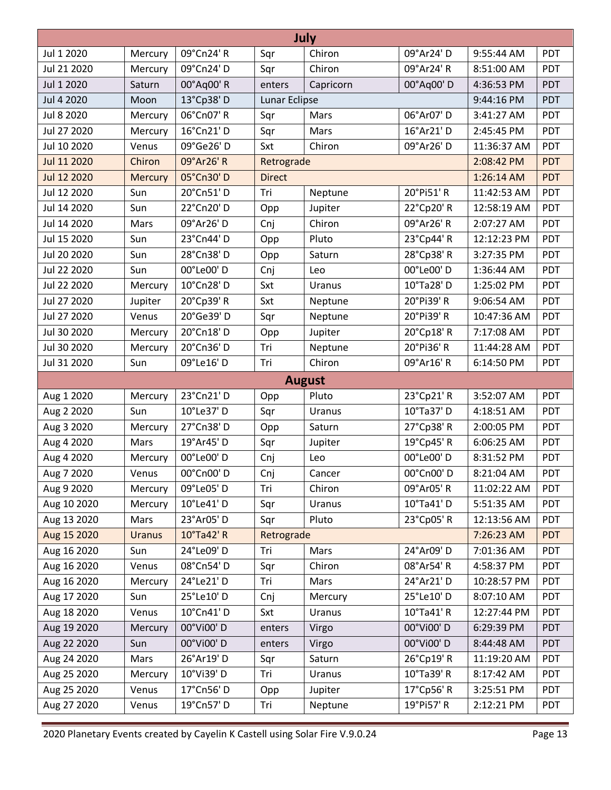| July        |                |            |               |               |            |             |            |  |  |  |
|-------------|----------------|------------|---------------|---------------|------------|-------------|------------|--|--|--|
| Jul 1 2020  | Mercury        | 09°Cn24' R | Sqr           | Chiron        | 09°Ar24' D | 9:55:44 AM  | <b>PDT</b> |  |  |  |
| Jul 21 2020 | Mercury        | 09°Cn24'D  | Sqr           | Chiron        | 09°Ar24' R | 8:51:00 AM  | PDT        |  |  |  |
| Jul 1 2020  | Saturn         | 00°Aq00' R | enters        | Capricorn     | 00°Aq00'D  | 4:36:53 PM  | <b>PDT</b> |  |  |  |
| Jul 4 2020  | Moon           | 13°Cp38'D  | Lunar Eclipse |               |            | 9:44:16 PM  | PDT        |  |  |  |
| Jul 8 2020  | Mercury        | 06°Cn07' R | Sqr           | Mars          | 06°Ar07' D | 3:41:27 AM  | PDT        |  |  |  |
| Jul 27 2020 | Mercury        | 16°Cn21'D  | Sqr           | Mars          | 16°Ar21' D | 2:45:45 PM  | PDT        |  |  |  |
| Jul 10 2020 | Venus          | 09°Ge26' D | Sxt           | Chiron        | 09°Ar26' D | 11:36:37 AM | PDT        |  |  |  |
| Jul 11 2020 | Chiron         | 09°Ar26' R | Retrograde    |               |            | 2:08:42 PM  | <b>PDT</b> |  |  |  |
| Jul 12 2020 | <b>Mercury</b> | 05°Cn30'D  | <b>Direct</b> |               |            | 1:26:14 AM  | <b>PDT</b> |  |  |  |
| Jul 12 2020 | Sun            | 20°Cn51'D  | Tri           | Neptune       | 20°Pi51'R  | 11:42:53 AM | PDT        |  |  |  |
| Jul 14 2020 | Sun            | 22°Cn20'D  | Opp           | Jupiter       | 22°Cp20' R | 12:58:19 AM | PDT        |  |  |  |
| Jul 14 2020 | Mars           | 09°Ar26' D | Cnj           | Chiron        | 09°Ar26' R | 2:07:27 AM  | PDT        |  |  |  |
| Jul 15 2020 | Sun            | 23°Cn44'D  | Opp           | Pluto         | 23°Cp44' R | 12:12:23 PM | PDT        |  |  |  |
| Jul 20 2020 | Sun            | 28°Cn38'D  | Opp           | Saturn        | 28°Cp38' R | 3:27:35 PM  | PDT        |  |  |  |
| Jul 22 2020 | Sun            | 00°Le00'D  | Cnj           | Leo           | 00°Le00'D  | 1:36:44 AM  | PDT        |  |  |  |
| Jul 22 2020 | Mercury        | 10°Cn28'D  | Sxt           | Uranus        | 10°Ta28' D | 1:25:02 PM  | PDT        |  |  |  |
| Jul 27 2020 | Jupiter        | 20°Cp39' R | Sxt           | Neptune       | 20°Pi39' R | 9:06:54 AM  | PDT        |  |  |  |
| Jul 27 2020 | Venus          | 20°Ge39'D  | Sqr           | Neptune       | 20°Pi39'R  | 10:47:36 AM | PDT        |  |  |  |
| Jul 30 2020 | Mercury        | 20°Cn18'D  | Opp           | Jupiter       | 20°Cp18' R | 7:17:08 AM  | PDT        |  |  |  |
| Jul 30 2020 | Mercury        | 20°Cn36'D  | Tri           | Neptune       | 20°Pi36' R | 11:44:28 AM | <b>PDT</b> |  |  |  |
| Jul 31 2020 | Sun            | 09°Le16' D | Tri           | Chiron        | 09°Ar16' R | 6:14:50 PM  | PDT        |  |  |  |
|             |                |            |               | <b>August</b> |            |             |            |  |  |  |
| Aug 1 2020  | Mercury        | 23°Cn21'D  | Opp           | Pluto         | 23°Cp21' R | 3:52:07 AM  | PDT        |  |  |  |
| Aug 2 2020  | Sun            | 10°Le37' D | Sqr           | Uranus        | 10°Ta37' D | 4:18:51 AM  | PDT        |  |  |  |
| Aug 3 2020  | Mercury        | 27°Cn38'D  | Opp           | Saturn        | 27°Cp38'R  | 2:00:05 PM  | PDT        |  |  |  |
| Aug 4 2020  | Mars           | 19°Ar45' D | Sqr           | Jupiter       | 19°Cp45' R | 6:06:25 AM  | PDT        |  |  |  |
| Aug 4 2020  | Mercury        | 00°Le00'D  | Cnj           | Leo           | 00°Le00'D  | 8:31:52 PM  | PDT        |  |  |  |
| Aug 7 2020  | Venus          | 00°Cn00'D  | Cnj           | Cancer        | 00°Cn00' D | 8:21:04 AM  | <b>PDT</b> |  |  |  |
| Aug 9 2020  | Mercury        | 09°Le05'D  | Tri           | Chiron        | 09°Ar05' R | 11:02:22 AM | <b>PDT</b> |  |  |  |
| Aug 10 2020 | Mercury        | 10°Le41'D  | Sqr           | Uranus        | 10°Ta41' D | 5:51:35 AM  | <b>PDT</b> |  |  |  |
| Aug 13 2020 | Mars           | 23°Ar05'D  | Sqr           | Pluto         | 23°Cp05' R | 12:13:56 AM | PDT        |  |  |  |
| Aug 15 2020 | <b>Uranus</b>  | 10°Ta42' R | Retrograde    |               |            | 7:26:23 AM  | <b>PDT</b> |  |  |  |
| Aug 16 2020 | Sun            | 24°Le09'D  | Tri           | Mars          | 24°Ar09' D | 7:01:36 AM  | <b>PDT</b> |  |  |  |
| Aug 16 2020 | Venus          | 08°Cn54'D  | Sqr           | Chiron        | 08°Ar54'R  | 4:58:37 PM  | PDT        |  |  |  |
| Aug 16 2020 | Mercury        | 24°Le21'D  | Tri           | Mars          | 24°Ar21' D | 10:28:57 PM | <b>PDT</b> |  |  |  |
| Aug 17 2020 | Sun            | 25°Le10'D  | Cnj           | Mercury       | 25°Le10'D  | 8:07:10 AM  | PDT        |  |  |  |
| Aug 18 2020 | Venus          | 10°Cn41' D | Sxt           | Uranus        | 10°Ta41' R | 12:27:44 PM | PDT        |  |  |  |
| Aug 19 2020 | Mercury        | 00°Vi00'D  | enters        | Virgo         | 00°Vi00'D  | 6:29:39 PM  | PDT        |  |  |  |
| Aug 22 2020 | Sun            | 00°Vi00'D  | enters        | Virgo         | 00°Vi00'D  | 8:44:48 AM  | PDT        |  |  |  |
| Aug 24 2020 | Mars           | 26°Ar19' D | Sqr           | Saturn        | 26°Cp19'R  | 11:19:20 AM | <b>PDT</b> |  |  |  |
| Aug 25 2020 | Mercury        | 10°Vi39'D  | Tri           | Uranus        | 10°Ta39' R | 8:17:42 AM  | PDT        |  |  |  |
| Aug 25 2020 | Venus          | 17°Cn56'D  | Opp           | Jupiter       | 17°Cp56'R  | 3:25:51 PM  | PDT        |  |  |  |
| Aug 27 2020 | Venus          | 19°Cn57'D  | Tri           | Neptune       | 19°Pi57' R | 2:12:21 PM  | PDT        |  |  |  |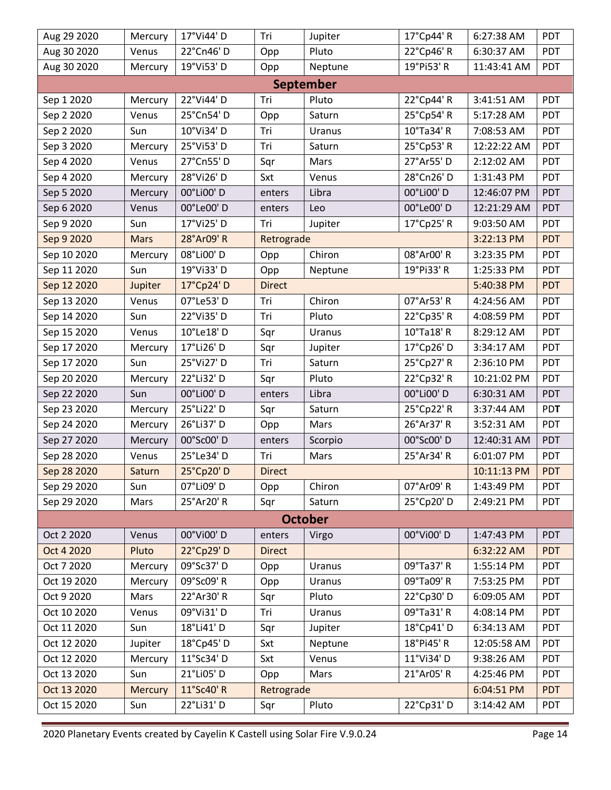| Aug 29 2020 | Mercury     | 17°Vi44' D | Tri           | Jupiter          | 17°Cp44' R | 6:27:38 AM  | <b>PDT</b> |
|-------------|-------------|------------|---------------|------------------|------------|-------------|------------|
| Aug 30 2020 | Venus       | 22°Cn46'D  | Opp           | Pluto            | 22°Cp46' R | 6:30:37 AM  | PDT        |
| Aug 30 2020 | Mercury     | 19°Vi53'D  | Opp           | Neptune          | 19°Pi53' R | 11:43:41 AM | PDT        |
|             |             |            |               | <b>September</b> |            |             |            |
| Sep 1 2020  | Mercury     | 22°Vi44'D  | Tri           | Pluto            | 22°Cp44' R | 3:41:51 AM  | PDT        |
| Sep 2 2020  | Venus       | 25°Cn54'D  | Opp           | Saturn           | 25°Cp54' R | 5:17:28 AM  | PDT        |
| Sep 2 2020  | Sun         | 10°Vi34'D  | Tri           | Uranus           | 10°Ta34' R | 7:08:53 AM  | PDT        |
| Sep 3 2020  | Mercury     | 25°Vi53'D  | Tri           | Saturn           | 25°Cp53' R | 12:22:22 AM | PDT        |
| Sep 4 2020  | Venus       | 27°Cn55'D  | Sqr           | Mars             | 27°Ar55'D  | 2:12:02 AM  | PDT        |
| Sep 4 2020  | Mercury     | 28°Vi26'D  | Sxt           | Venus            | 28°Cn26'D  | 1:31:43 PM  | PDT        |
| Sep 5 2020  | Mercury     | 00°Li00'D  | enters        | Libra            | 00°Li00' D | 12:46:07 PM | PDT        |
| Sep 6 2020  | Venus       | 00°Le00'D  | enters        | Leo              | 00°Le00'D  | 12:21:29 AM | PDT        |
| Sep 9 2020  | Sun         | 17°Vi25'D  | Tri           | Jupiter          | 17°Cp25' R | 9:03:50 AM  | PDT        |
| Sep 9 2020  | <b>Mars</b> | 28°Ar09' R | Retrograde    |                  |            | 3:22:13 PM  | <b>PDT</b> |
| Sep 10 2020 | Mercury     | 08°Li00'D  | Opp           | Chiron           | 08°Ar00' R | 3:23:35 PM  | PDT        |
| Sep 11 2020 | Sun         | 19°Vi33'D  | Opp           | Neptune          | 19°Pi33' R | 1:25:33 PM  | PDT        |
| Sep 12 2020 | Jupiter     | 17°Cp24'D  | <b>Direct</b> |                  |            | 5:40:38 PM  | <b>PDT</b> |
| Sep 13 2020 | Venus       | 07°Le53'D  | Tri           | Chiron           | 07°Ar53' R | 4:24:56 AM  | PDT        |
| Sep 14 2020 | Sun         | 22°Vi35'D  | Tri           | Pluto            | 22°Cp35'R  | 4:08:59 PM  | PDT        |
| Sep 15 2020 | Venus       | 10°Le18'D  | Sqr           | Uranus           | 10°Ta18' R | 8:29:12 AM  | PDT        |
| Sep 17 2020 | Mercury     | 17°Li26' D | Sqr           | Jupiter          | 17°Cp26'D  | 3:34:17 AM  | <b>PDT</b> |
| Sep 17 2020 | Sun         | 25°Vi27' D | Tri           | Saturn           | 25°Cp27' R | 2:36:10 PM  | PDT        |
| Sep 20 2020 | Mercury     | 22°Li32' D | Sqr           | Pluto            | 22°Cp32' R | 10:21:02 PM | PDT        |
| Sep 22 2020 | Sun         | 00°Li00'D  | enters        | Libra            | 00°Li00'D  | 6:30:31 AM  | PDT        |
| Sep 23 2020 | Mercury     | 25°Li22' D | Sqr           | Saturn           | 25°Cp22' R | 3:37:44 AM  | <b>PDT</b> |
| Sep 24 2020 | Mercury     | 26°Li37' D | Opp           | Mars             | 26°Ar37' R | 3:52:31 AM  | PDT        |
| Sep 27 2020 | Mercury     | 00°Sc00'D  | enters        | Scorpio          | 00°Sc00' D | 12:40:31 AM | PDT        |
| Sep 28 2020 | Venus       | 25°Le34'D  | Tri           | Mars             | 25°Ar34' R | 6:01:07 PM  | PDT        |
| Sep 28 2020 | Saturn      | 25°Cp20'D  | <b>Direct</b> |                  |            | 10:11:13 PM | <b>PDT</b> |
| Sep 29 2020 | Sun         | 07°Li09' D | Opp           | Chiron           | 07°Ar09' R | 1:43:49 PM  | PDT        |
| Sep 29 2020 | Mars        | 25°Ar20' R | Sqr           | Saturn           | 25°Cp20'D  | 2:49:21 PM  | PDT        |
|             |             |            |               | <b>October</b>   |            |             |            |
| Oct 2 2020  | Venus       | 00°Vi00'D  | enters        | Virgo            | 00°Vi00'D  | 1:47:43 PM  | PDT        |
| Oct 4 2020  | Pluto       | 22°Cp29'D  | <b>Direct</b> |                  |            | 6:32:22 AM  | <b>PDT</b> |
| Oct 7 2020  | Mercury     | 09°Sc37' D | Opp           | Uranus           | 09°Ta37' R | 1:55:14 PM  | PDT        |
| Oct 19 2020 | Mercury     | 09°Sc09' R | Opp           | Uranus           | 09°Ta09' R | 7:53:25 PM  | PDT        |
| Oct 9 2020  | Mars        | 22°Ar30' R | Sqr           | Pluto            | 22°Cp30'D  | 6:09:05 AM  | PDT        |
| Oct 10 2020 | Venus       | 09°Vi31'D  | Tri           | Uranus           | 09°Ta31' R | 4:08:14 PM  | PDT        |
| Oct 11 2020 | Sun         | 18°Li41' D | Sqr           | Jupiter          | 18°Cp41'D  | 6:34:13 AM  | PDT        |
| Oct 12 2020 | Jupiter     | 18°Cp45'D  | Sxt           | Neptune          | 18°Pi45'R  | 12:05:58 AM | PDT        |
| Oct 12 2020 | Mercury     | 11°Sc34' D | Sxt           | Venus            | 11°Vi34' D | 9:38:26 AM  | PDT        |
| Oct 13 2020 | Sun         | 21°Li05'D  | Opp           | Mars             | 21°Ar05' R | 4:25:46 PM  | PDT        |
| Oct 13 2020 | Mercury     | 11°Sc40' R | Retrograde    |                  |            | 6:04:51 PM  | <b>PDT</b> |
| Oct 15 2020 | Sun         | 22°Li31'D  | Sqr           | Pluto            | 22°Cp31'D  | 3:14:42 AM  | PDT        |

2020 Planetary Events created by Cayelin K Castell using Solar Fire V.9.0.24 Page 14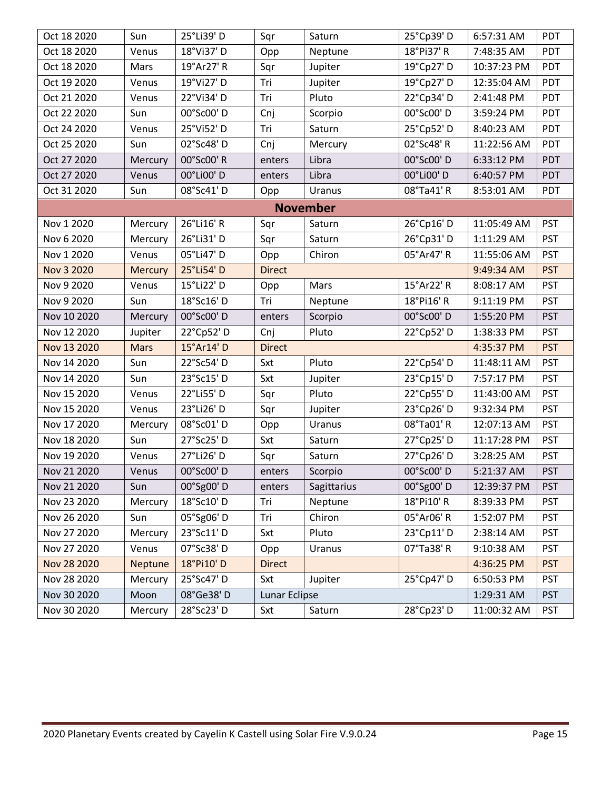| Oct 18 2020 | Sun            | 25°Li39' D | Sqr           | Saturn          | 25°Cp39'D  | 6:57:31 AM  | <b>PDT</b> |
|-------------|----------------|------------|---------------|-----------------|------------|-------------|------------|
| Oct 18 2020 | Venus          | 18°Vi37'D  | Opp           | Neptune         | 18°Pi37' R | 7:48:35 AM  | PDT        |
| Oct 18 2020 | Mars           | 19°Ar27' R | Sqr           | Jupiter         | 19°Cp27' D | 10:37:23 PM | PDT        |
| Oct 19 2020 | Venus          | 19°Vi27' D | Tri           | Jupiter         | 19°Cp27' D | 12:35:04 AM | PDT        |
| Oct 21 2020 | Venus          | 22°Vi34'D  | Tri           | Pluto           | 22°Cp34'D  | 2:41:48 PM  | PDT        |
| Oct 22 2020 | Sun            | 00°Sc00'D  | Cnj           | Scorpio         | 00°Sc00' D | 3:59:24 PM  | PDT        |
| Oct 24 2020 | Venus          | 25°Vi52'D  | Tri           | Saturn          | 25°Cp52'D  | 8:40:23 AM  | PDT        |
| Oct 25 2020 | Sun            | 02°Sc48'D  | Cnj           | Mercury         | 02°Sc48' R | 11:22:56 AM | PDT        |
| Oct 27 2020 | Mercury        | 00°Sc00' R | enters        | Libra           | 00°Sc00' D | 6:33:12 PM  | PDT        |
| Oct 27 2020 | Venus          | 00°Li00' D | enters        | Libra           | 00°Li00'D  | 6:40:57 PM  | PDT        |
| Oct 31 2020 | Sun            | 08°Sc41'D  | Opp           | Uranus          | 08°Ta41'R  | 8:53:01 AM  | PDT        |
|             |                |            |               | <b>November</b> |            |             |            |
| Nov 1 2020  | Mercury        | 26°Li16' R | Sqr           | Saturn          | 26°Cp16'D  | 11:05:49 AM | <b>PST</b> |
| Nov 6 2020  | Mercury        | 26°Li31'D  | Sqr           | Saturn          | 26°Cp31'D  | 1:11:29 AM  | <b>PST</b> |
| Nov 1 2020  | Venus          | 05°Li47' D | Opp           | Chiron          | 05°Ar47' R | 11:55:06 AM | <b>PST</b> |
| Nov 3 2020  | <b>Mercury</b> | 25°Li54'D  | <b>Direct</b> |                 |            | 9:49:34 AM  | <b>PST</b> |
| Nov 9 2020  | Venus          | 15°Li22' D | Opp           | Mars            | 15°Ar22' R | 8:08:17 AM  | <b>PST</b> |
| Nov 9 2020  | Sun            | 18°Sc16' D | Tri           | Neptune         | 18°Pi16' R | 9:11:19 PM  | <b>PST</b> |
| Nov 10 2020 | Mercury        | 00°Sc00'D  | enters        | Scorpio         | 00°Sc00' D | 1:55:20 PM  | <b>PST</b> |
| Nov 12 2020 | Jupiter        | 22°Cp52'D  | Cnj           | Pluto           | 22°Cp52'D  | 1:38:33 PM  | <b>PST</b> |
| Nov 13 2020 | <b>Mars</b>    | 15°Ar14' D | <b>Direct</b> |                 |            | 4:35:37 PM  | <b>PST</b> |
| Nov 14 2020 | Sun            | 22°Sc54'D  | Sxt           | Pluto           | 22°Cp54'D  | 11:48:11 AM | <b>PST</b> |
| Nov 14 2020 | Sun            | 23°Sc15'D  | Sxt           | Jupiter         | 23°Cp15'D  | 7:57:17 PM  | <b>PST</b> |
| Nov 15 2020 | Venus          | 22°Li55'D  | Sqr           | Pluto           | 22°Cp55'D  | 11:43:00 AM | <b>PST</b> |
| Nov 15 2020 | Venus          | 23°Li26' D | Sqr           | Jupiter         | 23°Cp26'D  | 9:32:34 PM  | <b>PST</b> |
| Nov 17 2020 | Mercury        | 08°Sc01'D  | Opp           | Uranus          | 08°Ta01'R  | 12:07:13 AM | <b>PST</b> |
| Nov 18 2020 | Sun            | 27°Sc25'D  | Sxt           | Saturn          | 27°Cp25'D  | 11:17:28 PM | <b>PST</b> |
| Nov 19 2020 | Venus          | 27°Li26' D | Sqr           | Saturn          | 27°Cp26'D  | 3:28:25 AM  | <b>PST</b> |
| Nov 21 2020 | Venus          | 00°Sc00' D | enters        | Scorpio         | 00°Sc00' D | 5:21:37 AM  | <b>PST</b> |
| Nov 21 2020 | Sun            | 00°Sg00'D  | enters        | Sagittarius     | 00°Sg00'D  | 12:39:37 PM | <b>PST</b> |
| Nov 23 2020 | Mercury        | 18°Sc10' D | Tri           | Neptune         | 18°Pi10'R  | 8:39:33 PM  | <b>PST</b> |
| Nov 26 2020 | Sun            | 05°Sg06'D  | Tri           | Chiron          | 05°Ar06' R | 1:52:07 PM  | <b>PST</b> |
| Nov 27 2020 | Mercury        | 23°Sc11' D | Sxt           | Pluto           | 23°Cp11'D  | 2:38:14 AM  | <b>PST</b> |
| Nov 27 2020 | Venus          | 07°Sc38'D  | Opp           | Uranus          | 07°Ta38'R  | 9:10:38 AM  | <b>PST</b> |
| Nov 28 2020 | Neptune        | 18°Pi10'D  | <b>Direct</b> |                 |            | 4:36:25 PM  | <b>PST</b> |
| Nov 28 2020 | Mercury        | 25°Sc47'D  | Sxt           | Jupiter         | 25°Cp47'D  | 6:50:53 PM  | <b>PST</b> |
| Nov 30 2020 | Moon           | 08°Ge38'D  | Lunar Eclipse |                 |            | 1:29:31 AM  | <b>PST</b> |
| Nov 30 2020 | Mercury        | 28°Sc23'D  | Sxt           | Saturn          | 28°Cp23'D  | 11:00:32 AM | <b>PST</b> |